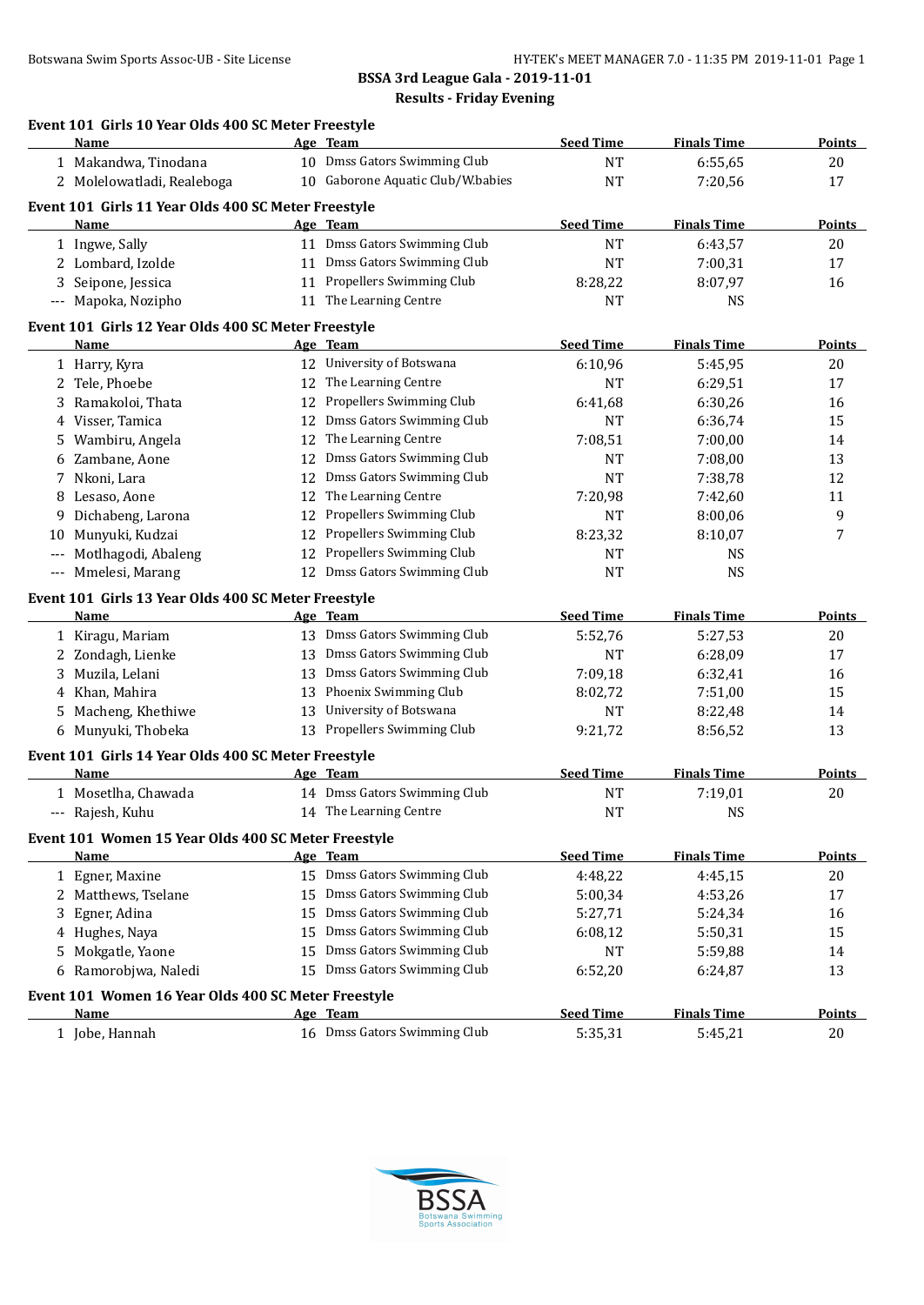|                     | Name                                                |    | Age Team                          | <b>Seed Time</b> | <b>Finals Time</b> | Points        |
|---------------------|-----------------------------------------------------|----|-----------------------------------|------------------|--------------------|---------------|
|                     | 1 Makandwa, Tinodana                                |    | 10 Dmss Gators Swimming Club      | <b>NT</b>        | 6:55,65            | 20            |
|                     | 2 Molelowatladi, Realeboga                          |    | 10 Gaborone Aquatic Club/W.babies | <b>NT</b>        | 7:20,56            | 17            |
|                     | Event 101 Girls 11 Year Olds 400 SC Meter Freestyle |    |                                   |                  |                    |               |
|                     | Name                                                |    | Age Team                          | <b>Seed Time</b> | <b>Finals Time</b> | Points        |
|                     | 1 Ingwe, Sally                                      |    | 11 Dmss Gators Swimming Club      | <b>NT</b>        | 6:43,57            | 20            |
|                     | 2 Lombard, Izolde                                   |    | 11 Dmss Gators Swimming Club      | <b>NT</b>        | 7:00,31            | 17            |
|                     | 3 Seipone, Jessica                                  |    | 11 Propellers Swimming Club       | 8:28,22          | 8:07,97            | 16            |
|                     | --- Mapoka, Nozipho                                 |    | 11 The Learning Centre            | <b>NT</b>        | <b>NS</b>          |               |
|                     | Event 101 Girls 12 Year Olds 400 SC Meter Freestyle |    |                                   |                  |                    |               |
|                     | Name                                                |    | Age Team                          | <b>Seed Time</b> | <b>Finals Time</b> | Points        |
|                     | 1 Harry, Kyra                                       |    | 12 University of Botswana         | 6:10,96          | 5:45,95            | 20            |
| 2                   | Tele, Phoebe                                        |    | 12 The Learning Centre            | <b>NT</b>        | 6:29,51            | 17            |
| 3                   | Ramakoloi, Thata                                    |    | 12 Propellers Swimming Club       | 6:41,68          | 6:30,26            | 16            |
| 4                   | Visser, Tamica                                      |    | 12 Dmss Gators Swimming Club      | <b>NT</b>        | 6:36,74            | 15            |
| 5                   | Wambiru, Angela                                     | 12 | The Learning Centre               | 7:08,51          | 7:00,00            | 14            |
| 6                   | Zambane, Aone                                       | 12 | Dmss Gators Swimming Club         | <b>NT</b>        | 7:08,00            | 13            |
| 7                   | Nkoni, Lara                                         |    | 12 Dmss Gators Swimming Club      | <b>NT</b>        | 7:38,78            | 12            |
| 8                   | Lesaso, Aone                                        | 12 | The Learning Centre               | 7:20,98          | 7:42,60            | 11            |
| 9                   | Dichabeng, Larona                                   |    | 12 Propellers Swimming Club       | <b>NT</b>        | 8:00,06            | 9             |
| 10                  | Munyuki, Kudzai                                     | 12 | Propellers Swimming Club          | 8:23,32          | 8:10,07            | 7             |
| $\qquad \qquad - -$ | Motlhagodi, Abaleng                                 | 12 | Propellers Swimming Club          | <b>NT</b>        | <b>NS</b>          |               |
|                     | --- Mmelesi, Marang                                 |    | 12 Dmss Gators Swimming Club      | <b>NT</b>        | <b>NS</b>          |               |
|                     | Event 101 Girls 13 Year Olds 400 SC Meter Freestyle |    |                                   |                  |                    |               |
|                     | <u>Name</u>                                         |    | Age Team                          | <b>Seed Time</b> | <b>Finals Time</b> | <b>Points</b> |
|                     | 1 Kiragu, Mariam                                    |    | 13 Dmss Gators Swimming Club      | 5:52,76          | 5:27,53            | 20            |
|                     | 2 Zondagh, Lienke                                   |    | 13 Dmss Gators Swimming Club      | <b>NT</b>        | 6:28,09            | 17            |
| 3                   | Muzila, Lelani                                      |    | 13 Dmss Gators Swimming Club      | 7:09,18          | 6:32,41            | 16            |
| 4                   | Khan, Mahira                                        | 13 | Phoenix Swimming Club             | 8:02,72          | 7:51,00            | 15            |
| 5                   | Macheng, Khethiwe                                   | 13 | University of Botswana            | <b>NT</b>        | 8:22,48            | 14            |
| 6                   | Munyuki, Thobeka                                    |    | 13 Propellers Swimming Club       | 9:21,72          | 8:56,52            | 13            |
|                     | Event 101 Girls 14 Year Olds 400 SC Meter Freestyle |    |                                   |                  |                    |               |
|                     | Name                                                |    | Age Team                          | <b>Seed Time</b> | <b>Finals Time</b> | <b>Points</b> |
|                     | 1 Mosetlha, Chawada                                 |    | 14 Dmss Gators Swimming Club      | <b>NT</b>        | 7:19,01            | 20            |
|                     | --- Rajesh, Kuhu                                    |    | 14 The Learning Centre            | $\rm{NT}$        | <b>NS</b>          |               |
|                     | Event 101 Women 15 Year Olds 400 SC Meter Freestyle |    |                                   |                  |                    |               |
|                     | <b>Name</b>                                         |    | Age Team                          | <b>Seed Time</b> | <b>Finals Time</b> | <b>Points</b> |
|                     | 1 Egner, Maxine                                     |    | 15 Dmss Gators Swimming Club      | 4:48,22          | 4:45,15            | 20            |
| 2                   | Matthews, Tselane                                   | 15 | Dmss Gators Swimming Club         | 5:00,34          | 4:53,26            | 17            |
| 3                   | Egner, Adina                                        | 15 | Dmss Gators Swimming Club         | 5:27,71          | 5:24,34            | 16            |
| 4                   | Hughes, Naya                                        | 15 | Dmss Gators Swimming Club         | 6:08,12          | 5:50,31            | 15            |
| 5                   | Mokgatle, Yaone                                     | 15 | Dmss Gators Swimming Club         | NT               | 5:59,88            | 14            |
| 6                   | Ramorobjwa, Naledi                                  | 15 | Dmss Gators Swimming Club         | 6:52,20          | 6:24,87            | 13            |
|                     | Event 101 Women 16 Year Olds 400 SC Meter Freestyle |    |                                   |                  |                    |               |
|                     | Name                                                |    | Age Team                          | <b>Seed Time</b> | <b>Finals Time</b> | <b>Points</b> |
|                     | 1 Jobe, Hannah                                      |    | 16 Dmss Gators Swimming Club      | 5:35,31          | 5:45,21            | $20\,$        |
|                     |                                                     |    |                                   |                  |                    |               |

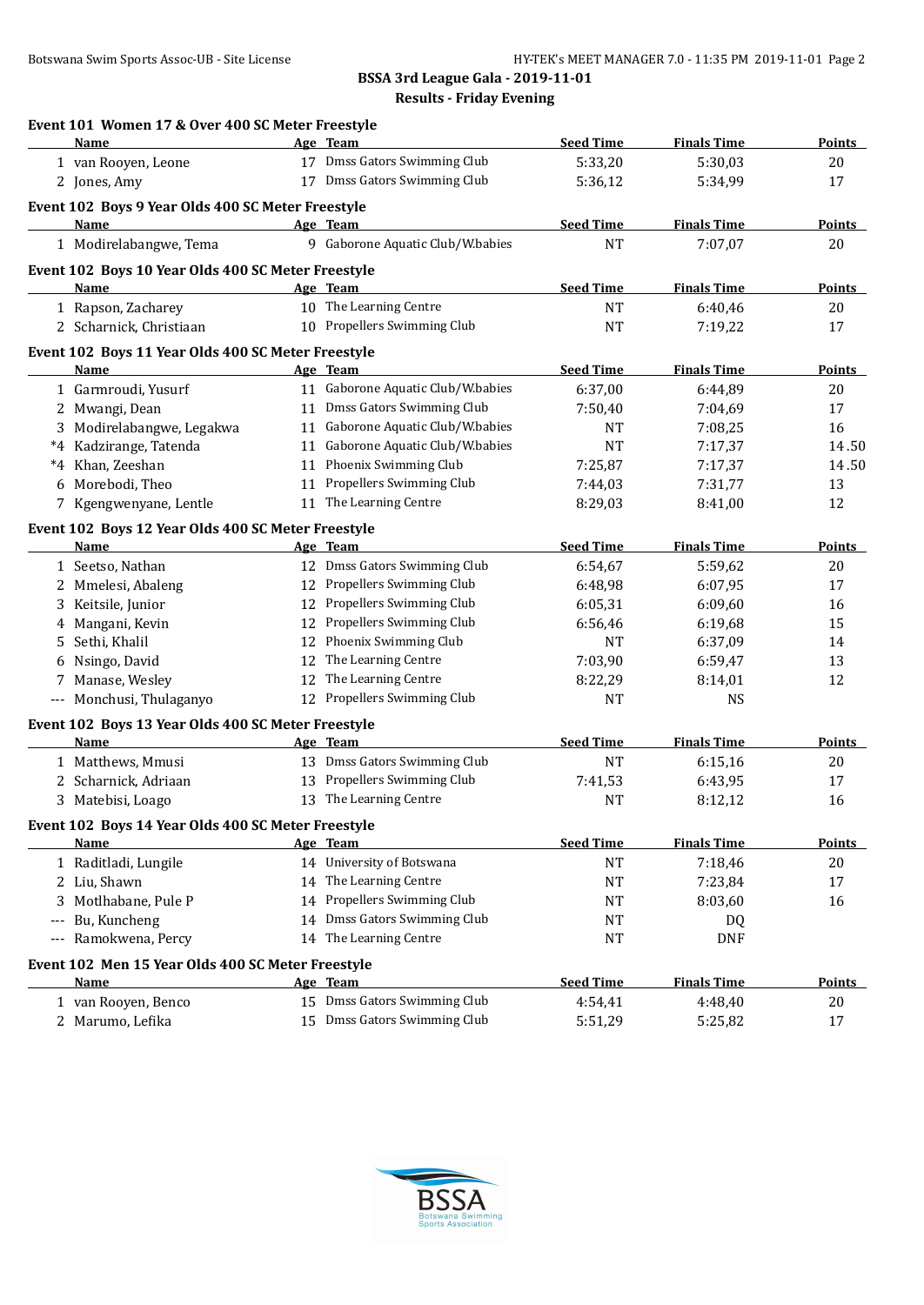|                     | Event 101 Women 17 & Over 400 SC Meter Freestyle<br>Name |    | Age Team                                     | <b>Seed Time</b> | <b>Finals Time</b> | <b>Points</b> |
|---------------------|----------------------------------------------------------|----|----------------------------------------------|------------------|--------------------|---------------|
|                     | 1 van Rooyen, Leone                                      |    | 17 Dmss Gators Swimming Club                 | 5:33,20          | 5:30,03            | 20            |
|                     | 2 Jones, Amy                                             |    | 17 Dmss Gators Swimming Club                 | 5:36,12          | 5:34,99            | 17            |
|                     |                                                          |    |                                              |                  |                    |               |
|                     | Event 102 Boys 9 Year Olds 400 SC Meter Freestyle        |    |                                              |                  |                    |               |
|                     | Name                                                     |    | Age Team<br>9 Gaborone Aquatic Club/W.babies | <b>Seed Time</b> | <b>Finals Time</b> | Points        |
|                     | 1 Modirelabangwe, Tema                                   |    |                                              | <b>NT</b>        | 7:07,07            | 20            |
|                     | Event 102 Boys 10 Year Olds 400 SC Meter Freestyle       |    |                                              |                  |                    |               |
|                     | Name                                                     |    | Age Team                                     | <b>Seed Time</b> | <b>Finals Time</b> | <b>Points</b> |
|                     | 1 Rapson, Zacharey                                       |    | 10 The Learning Centre                       | <b>NT</b>        | 6:40,46            | 20            |
|                     | 2 Scharnick, Christiaan                                  |    | 10 Propellers Swimming Club                  | <b>NT</b>        | 7:19,22            | 17            |
|                     | Event 102 Boys 11 Year Olds 400 SC Meter Freestyle       |    |                                              |                  |                    |               |
|                     | Name                                                     |    | Age Team                                     | <b>Seed Time</b> | <b>Finals Time</b> | <b>Points</b> |
|                     | 1 Garmroudi, Yusurf                                      |    | 11 Gaborone Aquatic Club/W.babies            | 6:37,00          | 6:44,89            | 20            |
|                     | 2 Mwangi, Dean                                           |    | 11 Dmss Gators Swimming Club                 | 7:50,40          | 7:04,69            | 17            |
|                     | 3 Modirelabangwe, Legakwa                                |    | 11 Gaborone Aquatic Club/W.babies            | NT               | 7:08,25            | 16            |
|                     | *4 Kadzirange, Tatenda                                   |    | 11 Gaborone Aquatic Club/W.babies            | <b>NT</b>        | 7:17,37            | 14.50         |
|                     | *4 Khan, Zeeshan                                         |    | 11 Phoenix Swimming Club                     | 7:25,87          | 7:17,37            | 14.50         |
|                     | 6 Morebodi, Theo                                         |    | 11 Propellers Swimming Club                  | 7:44,03          | 7:31,77            | 13            |
|                     | 7 Kgengwenyane, Lentle                                   |    | 11 The Learning Centre                       | 8:29,03          | 8:41,00            | 12            |
|                     |                                                          |    |                                              |                  |                    |               |
|                     | Event 102 Boys 12 Year Olds 400 SC Meter Freestyle       |    |                                              |                  |                    |               |
|                     | Name                                                     |    | Age Team                                     | <b>Seed Time</b> | <b>Finals Time</b> | <b>Points</b> |
|                     | 1 Seetso, Nathan                                         |    | 12 Dmss Gators Swimming Club                 | 6:54,67          | 5:59,62            | 20            |
|                     | 2 Mmelesi, Abaleng                                       |    | 12 Propellers Swimming Club                  | 6:48,98          | 6:07,95            | 17            |
| 3                   | Keitsile, Junior                                         | 12 | Propellers Swimming Club                     | 6:05,31          | 6:09,60            | 16            |
| 4                   | Mangani, Kevin                                           | 12 | Propellers Swimming Club                     | 6:56,46          | 6:19,68            | 15            |
| 5                   | Sethi, Khalil                                            | 12 | Phoenix Swimming Club                        | <b>NT</b>        | 6:37,09            | 14            |
| 6                   | Nsingo, David                                            | 12 | The Learning Centre                          | 7:03,90          | 6:59,47            | 13            |
| 7                   | Manase, Wesley                                           | 12 | The Learning Centre                          | 8:22,29          | 8:14,01            | 12            |
|                     | --- Monchusi, Thulaganyo                                 |    | 12 Propellers Swimming Club                  | <b>NT</b>        | <b>NS</b>          |               |
|                     | Event 102 Boys 13 Year Olds 400 SC Meter Freestyle       |    |                                              |                  |                    |               |
|                     | <b>Name</b>                                              |    | Age Team                                     | <b>Seed Time</b> | <b>Finals Time</b> | <b>Points</b> |
|                     | 1 Matthews, Mmusi                                        |    | 13 Dmss Gators Swimming Club                 | <b>NT</b>        | 6:15,16            | 20            |
|                     | 2 Scharnick, Adriaan                                     |    | 13 Propellers Swimming Club                  | 7:41,53          | 6:43,95            | 17            |
|                     | 3 Matebisi, Loago                                        |    | 13 The Learning Centre                       | <b>NT</b>        | 8:12,12            | 16            |
|                     |                                                          |    |                                              |                  |                    |               |
|                     | Event 102 Boys 14 Year Olds 400 SC Meter Freestyle       |    |                                              |                  |                    |               |
|                     | Name                                                     |    | Age Team                                     | <b>Seed Time</b> | <b>Finals Time</b> | <b>Points</b> |
|                     | 1 Raditladi, Lungile                                     |    | 14 University of Botswana                    | <b>NT</b>        | 7:18,46            | 20            |
|                     | 2 Liu, Shawn                                             |    | 14 The Learning Centre                       | <b>NT</b>        | 7:23,84            | 17            |
| 3                   | Motlhabane, Pule P                                       |    | 14 Propellers Swimming Club                  | NT               | 8:03,60            | 16            |
| $\qquad \qquad - -$ | Bu, Kuncheng                                             |    | 14 Dmss Gators Swimming Club                 | NT               | DQ                 |               |
| ---                 | Ramokwena, Percy                                         |    | 14 The Learning Centre                       | NT               | <b>DNF</b>         |               |
|                     | Event 102 Men 15 Year Olds 400 SC Meter Freestyle        |    |                                              |                  |                    |               |
|                     | Name                                                     |    | Age Team                                     | <b>Seed Time</b> | <b>Finals Time</b> | <b>Points</b> |
|                     | 1 van Rooyen, Benco                                      |    | 15 Dmss Gators Swimming Club                 | 4:54,41          | 4:48,40            | 20            |
|                     | 2 Marumo, Lefika                                         |    | 15 Dmss Gators Swimming Club                 | 5:51,29          | 5:25,82            | 17            |

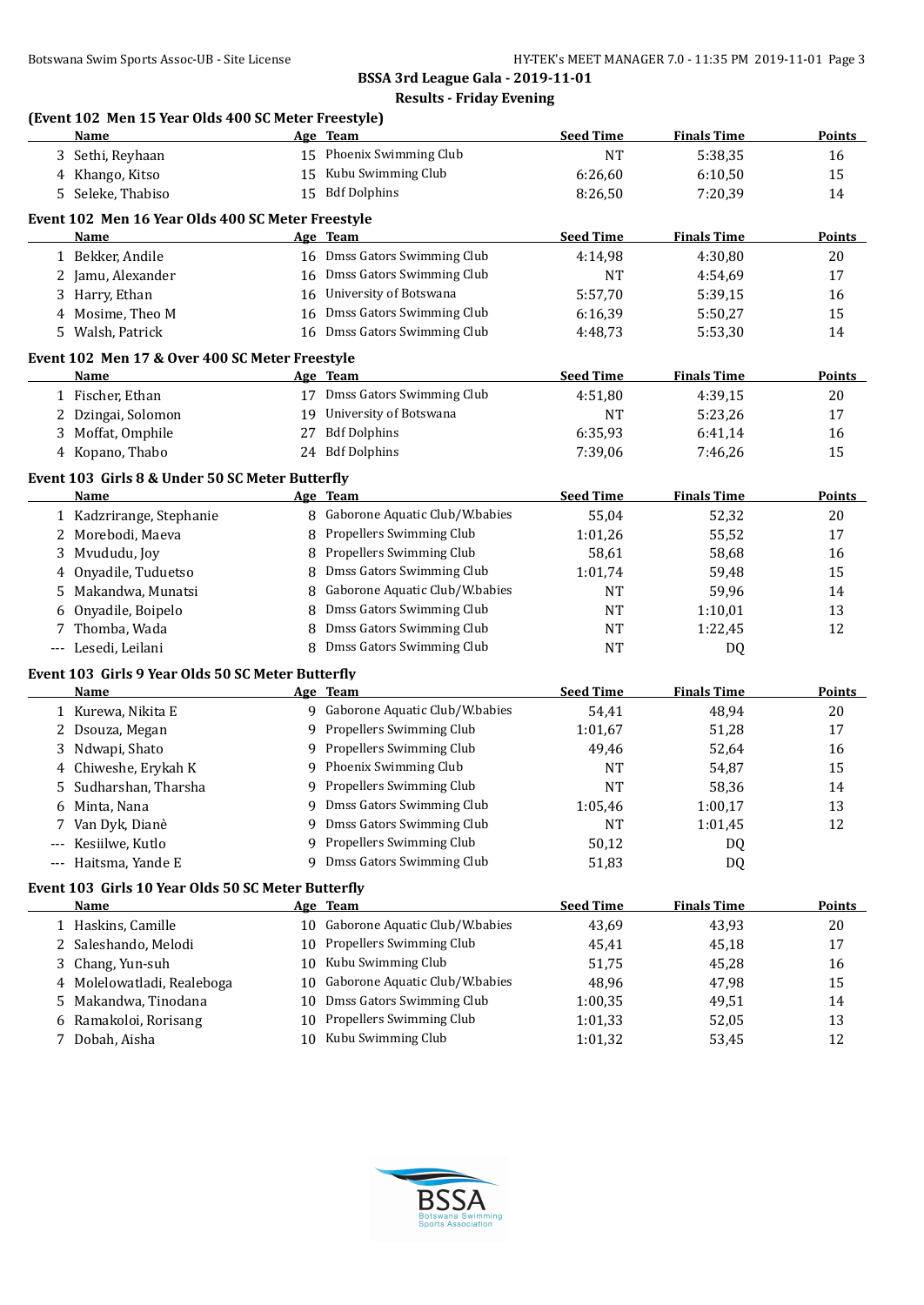## **(Event 102 Men 15 Year Olds 400 SC Meter Freestyle)**

|    | Name                                               |        | Age Team                                                | <b>Seed Time</b> | <b>Finals Time</b> | <b>Points</b> |
|----|----------------------------------------------------|--------|---------------------------------------------------------|------------------|--------------------|---------------|
|    | 3 Sethi, Reyhaan                                   |        | 15 Phoenix Swimming Club                                | <b>NT</b>        | 5:38,35            | 16            |
|    | 4 Khango, Kitso                                    | 15     | Kubu Swimming Club                                      | 6:26,60          | 6:10,50            | 15            |
|    | 5 Seleke, Thabiso                                  |        | 15 Bdf Dolphins                                         | 8:26,50          | 7:20,39            | 14            |
|    | Event 102 Men 16 Year Olds 400 SC Meter Freestyle  |        |                                                         |                  |                    |               |
|    | Name                                               |        | Age Team                                                | <b>Seed Time</b> | <b>Finals Time</b> | Points        |
|    | 1 Bekker, Andile                                   |        | 16 Dmss Gators Swimming Club                            | 4:14,98          | 4:30,80            | 20            |
|    | 2 Jamu, Alexander                                  |        | 16 Dmss Gators Swimming Club                            | <b>NT</b>        | 4:54,69            | 17            |
|    | 3 Harry, Ethan                                     | 16     | University of Botswana                                  | 5:57,70          | 5:39,15            | 16            |
|    | 4 Mosime, Theo M                                   | 16     | Dmss Gators Swimming Club                               | 6:16,39          | 5:50,27            | 15            |
|    | 5 Walsh, Patrick                                   |        | 16 Dmss Gators Swimming Club                            | 4:48,73          | 5:53,30            | 14            |
|    |                                                    |        |                                                         |                  |                    |               |
|    | Event 102 Men 17 & Over 400 SC Meter Freestyle     |        |                                                         |                  |                    |               |
|    | Name                                               |        | Age Team                                                | <b>Seed Time</b> | <b>Finals Time</b> | <b>Points</b> |
|    | 1 Fischer, Ethan                                   |        | 17 Dmss Gators Swimming Club                            | 4:51,80          | 4:39,15            | 20            |
|    | 2 Dzingai, Solomon                                 |        | 19 University of Botswana                               | NT               | 5:23,26            | 17            |
|    | 3 Moffat, Omphile                                  |        | 27 Bdf Dolphins                                         | 6:35,93          | 6:41,14            | 16            |
|    | 4 Kopano, Thabo                                    |        | 24 Bdf Dolphins                                         | 7:39,06          | 7:46,26            | 15            |
|    | Event 103 Girls 8 & Under 50 SC Meter Butterfly    |        |                                                         |                  |                    |               |
|    | <b>Name</b>                                        |        | Age Team                                                | <b>Seed Time</b> | <b>Finals Time</b> | <b>Points</b> |
|    | 1 Kadzrirange, Stephanie                           |        | 8 Gaborone Aquatic Club/W.babies                        | 55,04            | 52,32              | 20            |
|    | 2 Morebodi, Maeva                                  | 8      | Propellers Swimming Club                                | 1:01,26          | 55,52              | 17            |
|    | 3 Mvududu, Joy                                     | 8      | Propellers Swimming Club                                | 58,61            | 58,68              | 16            |
| 4  | Onyadile, Tuduetso                                 | 8      | Dmss Gators Swimming Club                               | 1:01,74          | 59,48              | 15            |
|    | 5 Makandwa, Munatsi                                | 8      | Gaborone Aquatic Club/W.babies                          | NT               | 59,96              | 14            |
| 6  | Onyadile, Boipelo                                  | 8      | Dmss Gators Swimming Club                               | <b>NT</b>        | 1:10,01            | 13            |
| 7  | Thomba, Wada                                       | 8      | Dmss Gators Swimming Club                               | NT               | 1:22,45            | 12            |
|    | --- Lesedi, Leilani                                | 8      | Dmss Gators Swimming Club                               | NT               | DQ                 |               |
|    | Event 103 Girls 9 Year Olds 50 SC Meter Butterfly  |        |                                                         |                  |                    |               |
|    | Name                                               |        | Age Team                                                | <b>Seed Time</b> | <b>Finals Time</b> | <b>Points</b> |
|    |                                                    | 9      | Gaborone Aquatic Club/W.babies                          | 54,41            |                    |               |
|    | 1 Kurewa, Nikita E                                 |        | Propellers Swimming Club                                |                  | 48,94              | 20            |
|    | 2 Dsouza, Megan                                    | 9      | Propellers Swimming Club                                | 1:01,67          | 51,28              | 17            |
| 3  | Ndwapi, Shato                                      | 9      | 9 Phoenix Swimming Club                                 | 49,46            | 52,64              | 16            |
| 4  | Chiweshe, Erykah K                                 |        | Propellers Swimming Club                                | NT               | 54,87              | 15            |
| 5. | Sudharshan, Tharsha                                | 9      | Dmss Gators Swimming Club                               | <b>NT</b>        | 58,36              | 14            |
| 6  | Minta, Nana                                        | 9<br>9 |                                                         | 1:05,46          | 1:00,17            | 13            |
|    | 7 Van Dyk, Dianè                                   |        | Dmss Gators Swimming Club<br>9 Propellers Swimming Club | NT               | 1:01,45            | 12            |
|    | --- Kesiilwe, Kutlo                                |        | 9 Dmss Gators Swimming Club                             | 50,12            | DQ                 |               |
|    | --- Haitsma, Yande E                               |        |                                                         | 51,83            | DQ                 |               |
|    | Event 103 Girls 10 Year Olds 50 SC Meter Butterfly |        |                                                         |                  |                    |               |
|    | Name                                               |        | Age Team                                                | <b>Seed Time</b> | <b>Finals Time</b> | <b>Points</b> |
|    | 1 Haskins, Camille                                 |        | 10 Gaborone Aquatic Club/W.babies                       | 43,69            | 43,93              | 20            |
|    | 2 Saleshando, Melodi                               | 10     | Propellers Swimming Club                                | 45,41            | 45,18              | 17            |
| 3. | Chang, Yun-suh                                     | 10     | Kubu Swimming Club                                      | 51,75            | 45,28              | 16            |
| 4  | Molelowatladi, Realeboga                           | 10     | Gaborone Aquatic Club/W.babies                          | 48,96            | 47,98              | 15            |
| 5  | Makandwa, Tinodana                                 | 10     | Dmss Gators Swimming Club                               | 1:00,35          | 49,51              | 14            |
| 6  | Ramakoloi, Rorisang                                | 10     | Propellers Swimming Club                                | 1:01,33          | 52,05              | 13            |
|    | 7 Dobah, Aisha                                     | 10     | Kubu Swimming Club                                      | 1:01,32          | 53,45              | 12            |

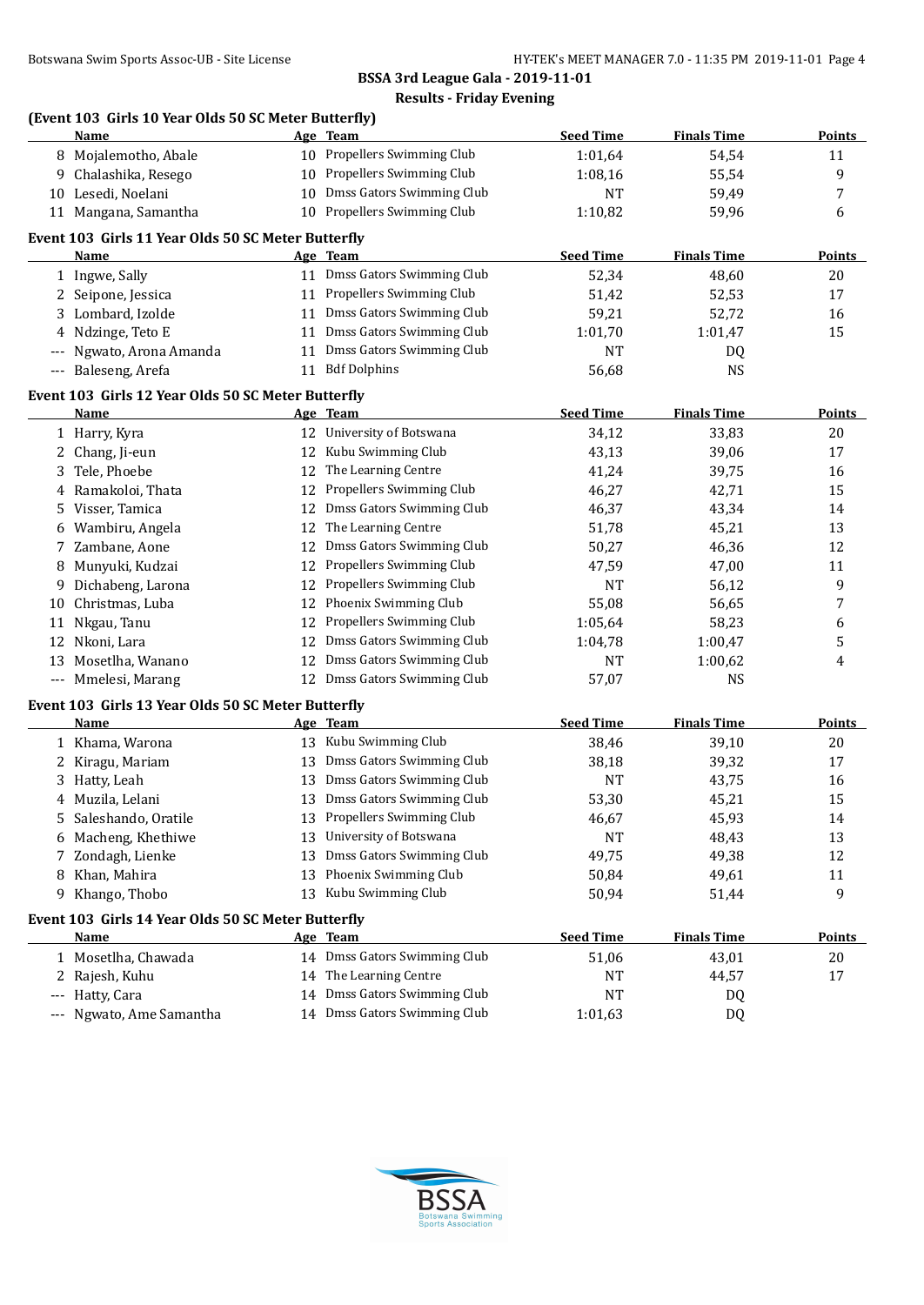#### **(Event 103 Girls 10 Year Olds 50 SC Meter Butterfly)**

|     | <b>Name</b>                                        |    | Age Team                     | <b>Seed Time</b> | <b>Finals Time</b> | <b>Points</b> |
|-----|----------------------------------------------------|----|------------------------------|------------------|--------------------|---------------|
|     | 8 Mojalemotho, Abale                               |    | 10 Propellers Swimming Club  | 1:01,64          | 54,54              | 11            |
| 9   | Chalashika, Resego                                 |    | 10 Propellers Swimming Club  | 1:08,16          | 55,54              | 9             |
| 10  | Lesedi, Noelani                                    | 10 | Dmss Gators Swimming Club    | <b>NT</b>        | 59,49              | 7             |
|     | 11 Mangana, Samantha                               |    | 10 Propellers Swimming Club  | 1:10,82          | 59,96              | 6             |
|     | Event 103 Girls 11 Year Olds 50 SC Meter Butterfly |    |                              |                  |                    |               |
|     | <u>Name</u>                                        |    | Age Team                     | <b>Seed Time</b> | <b>Finals Time</b> | <b>Points</b> |
|     | 1 Ingwe, Sally                                     |    | 11 Dmss Gators Swimming Club | 52,34            | 48,60              | 20            |
|     | 2 Seipone, Jessica                                 |    | 11 Propellers Swimming Club  | 51,42            | 52,53              | 17            |
|     | 3 Lombard, Izolde                                  |    | 11 Dmss Gators Swimming Club | 59,21            | 52,72              | 16            |
|     | 4 Ndzinge, Teto E                                  |    | 11 Dmss Gators Swimming Club | 1:01,70          | 1:01,47            | 15            |
|     | --- Ngwato, Arona Amanda                           |    | 11 Dmss Gators Swimming Club | <b>NT</b>        | DQ                 |               |
|     | --- Baleseng, Arefa                                |    | 11 Bdf Dolphins              | 56,68            | <b>NS</b>          |               |
|     | Event 103 Girls 12 Year Olds 50 SC Meter Butterfly |    |                              |                  |                    |               |
|     | Name                                               |    | Age Team                     | <b>Seed Time</b> | <b>Finals Time</b> | <b>Points</b> |
|     | 1 Harry, Kyra                                      |    | 12 University of Botswana    | 34,12            | 33,83              | 20            |
| 2   | Chang, Ji-eun                                      |    | 12 Kubu Swimming Club        | 43,13            | 39,06              | 17            |
| 3   | Tele, Phoebe                                       | 12 | The Learning Centre          | 41,24            | 39,75              | 16            |
| 4   | Ramakoloi, Thata                                   | 12 | Propellers Swimming Club     | 46,27            | 42,71              | 15            |
| 5   | Visser, Tamica                                     | 12 | Dmss Gators Swimming Club    | 46,37            | 43,34              | 14            |
| 6   | Wambiru, Angela                                    | 12 | The Learning Centre          | 51,78            | 45,21              | 13            |
| 7   | Zambane, Aone                                      | 12 | Dmss Gators Swimming Club    | 50,27            | 46,36              | 12            |
| 8   | Munyuki, Kudzai                                    | 12 | Propellers Swimming Club     | 47,59            | 47,00              | 11            |
| 9   | Dichabeng, Larona                                  | 12 | Propellers Swimming Club     | NT               | 56,12              | 9             |
| 10  | Christmas, Luba                                    | 12 | Phoenix Swimming Club        | 55,08            | 56,65              | 7             |
| 11  | Nkgau, Tanu                                        | 12 | Propellers Swimming Club     | 1:05,64          | 58,23              | 6             |
| 12  | Nkoni, Lara                                        |    | 12 Dmss Gators Swimming Club | 1:04,78          | 1:00,47            | 5             |
|     | 13 Mosetlha, Wanano                                |    | 12 Dmss Gators Swimming Club | NT               | 1:00,62            | 4             |
|     | --- Mmelesi, Marang                                |    | 12 Dmss Gators Swimming Club | 57,07            | <b>NS</b>          |               |
|     | Event 103 Girls 13 Year Olds 50 SC Meter Butterfly |    |                              |                  |                    |               |
|     | <b>Name</b>                                        |    | Age Team                     | <b>Seed Time</b> | <b>Finals Time</b> | <b>Points</b> |
|     | 1 Khama, Warona                                    |    | 13 Kubu Swimming Club        | 38,46            | 39,10              | 20            |
| 2   | Kiragu, Mariam                                     | 13 | Dmss Gators Swimming Club    | 38,18            | 39,32              | 17            |
| 3   | Hatty, Leah                                        | 13 | Dmss Gators Swimming Club    | <b>NT</b>        | 43,75              | 16            |
| 4   | Muzila, Lelani                                     | 13 | Dmss Gators Swimming Club    | 53,30            | 45,21              | 15            |
| 5   | Saleshando, Oratile                                |    | 13 Propellers Swimming Club  | 46,67            | 45,93              | 14            |
|     | 6 Macheng, Khethiwe                                |    | 13 University of Botswana    | NT               | 48,43              | 13            |
|     | 7 Zondagh, Lienke                                  | 13 | Dmss Gators Swimming Club    | 49,75            | 49,38              | 12            |
| 8   | Khan, Mahira                                       | 13 | Phoenix Swimming Club        | 50,84            | 49,61              | 11            |
|     | 9 Khango, Thobo                                    |    | 13 Kubu Swimming Club        | 50,94            | 51,44              | 9             |
|     | Event 103 Girls 14 Year Olds 50 SC Meter Butterfly |    |                              |                  |                    |               |
|     | <u>Name</u>                                        |    | Age Team                     | <b>Seed Time</b> | <b>Finals Time</b> | <b>Points</b> |
|     | 1 Mosetlha, Chawada                                |    | 14 Dmss Gators Swimming Club | 51,06            | 43,01              | 20            |
| 2   | Rajesh, Kuhu                                       |    | 14 The Learning Centre       | NT               | 44,57              | 17            |
| --- | Hatty, Cara                                        |    | 14 Dmss Gators Swimming Club | NT               | DQ                 |               |
| --- | Ngwato, Ame Samantha                               |    | 14 Dmss Gators Swimming Club | 1:01,63          | DQ                 |               |

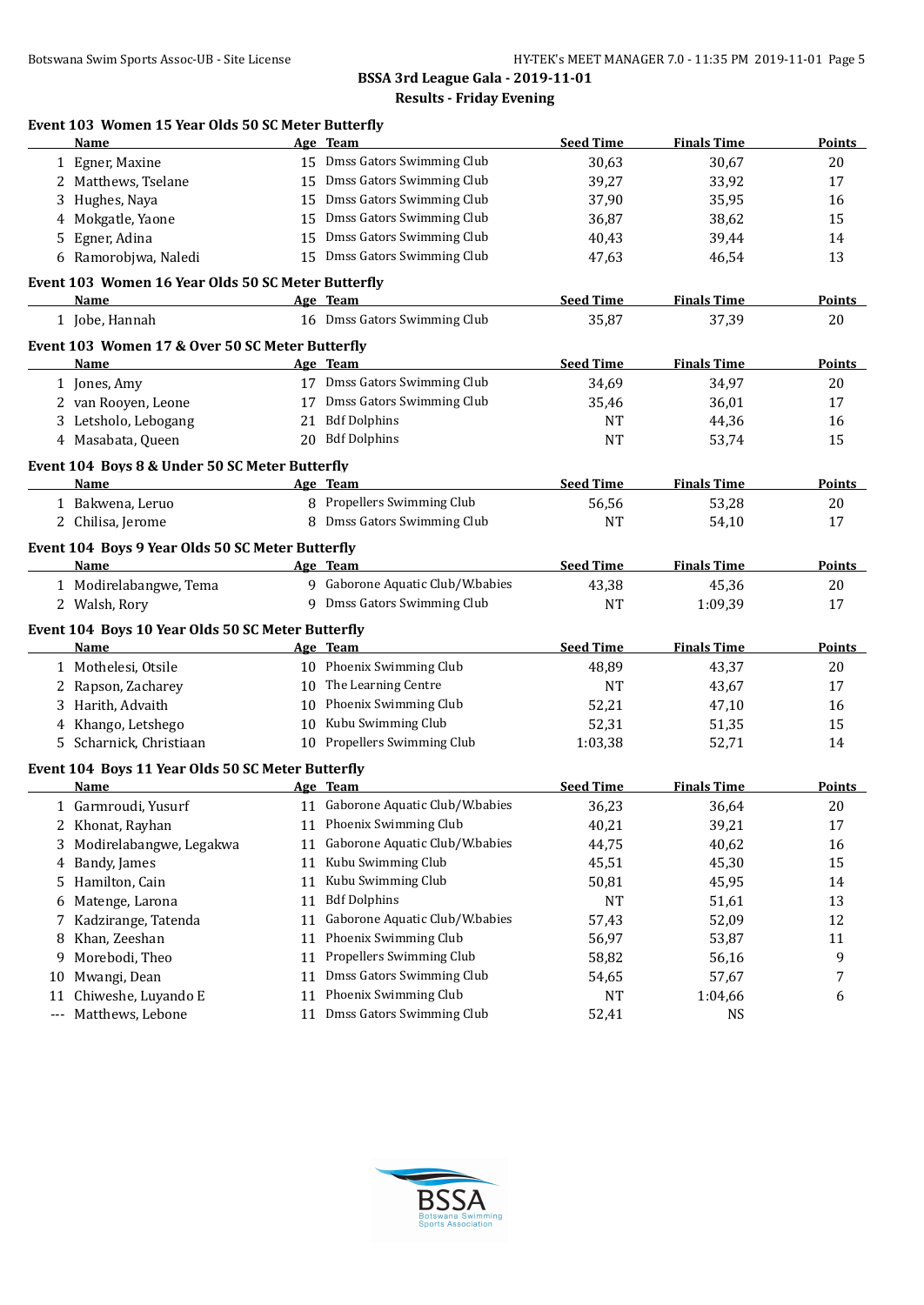|          | Event 103 Women 15 Year Olds 50 SC Meter Butterfly |    |                                   |                  |                    |               |
|----------|----------------------------------------------------|----|-----------------------------------|------------------|--------------------|---------------|
|          | Name                                               |    | Age Team                          | <b>Seed Time</b> | <b>Finals Time</b> | Points        |
|          | 1 Egner, Maxine                                    |    | 15 Dmss Gators Swimming Club      | 30,63            | 30,67              | 20            |
|          | 2 Matthews, Tselane                                |    | 15 Dmss Gators Swimming Club      | 39,27            | 33,92              | 17            |
|          | 3 Hughes, Naya                                     |    | 15 Dmss Gators Swimming Club      | 37,90            | 35,95              | 16            |
| 4        | Mokgatle, Yaone                                    |    | 15 Dmss Gators Swimming Club      | 36,87            | 38,62              | 15            |
| 5        | Egner, Adina                                       |    | 15 Dmss Gators Swimming Club      | 40,43            | 39,44              | 14            |
|          | 6 Ramorobjwa, Naledi                               |    | 15 Dmss Gators Swimming Club      | 47,63            | 46,54              | 13            |
|          | Event 103 Women 16 Year Olds 50 SC Meter Butterfly |    |                                   |                  |                    |               |
|          | Name                                               |    | Age Team                          | <b>Seed Time</b> | <b>Finals Time</b> | Points        |
|          | 1 Jobe, Hannah                                     |    | 16 Dmss Gators Swimming Club      | 35,87            | 37,39              | 20            |
|          | Event 103 Women 17 & Over 50 SC Meter Butterfly    |    |                                   |                  |                    |               |
|          | Name                                               |    | Age Team                          | <b>Seed Time</b> | <b>Finals Time</b> | <b>Points</b> |
|          | 1 Jones, Amy                                       |    | 17 Dmss Gators Swimming Club      | 34,69            | 34,97              | 20            |
|          | 2 van Rooyen, Leone                                |    | 17 Dmss Gators Swimming Club      | 35,46            | 36,01              | 17            |
|          | 3 Letsholo, Lebogang                               |    | 21 Bdf Dolphins                   | <b>NT</b>        | 44,36              | 16            |
|          | 4 Masabata, Queen                                  |    | 20 Bdf Dolphins                   | <b>NT</b>        | 53,74              | 15            |
|          | Event 104 Boys 8 & Under 50 SC Meter Butterfly     |    |                                   |                  |                    |               |
|          | Name                                               |    | Age Team                          | <b>Seed Time</b> | <b>Finals Time</b> | <b>Points</b> |
|          | 1 Bakwena, Leruo                                   |    | 8 Propellers Swimming Club        | 56,56            | 53,28              | 20            |
|          | 2 Chilisa, Jerome                                  |    | 8 Dmss Gators Swimming Club       | <b>NT</b>        | 54,10              | 17            |
|          | Event 104 Boys 9 Year Olds 50 SC Meter Butterfly   |    |                                   |                  |                    |               |
|          | Name                                               |    | Age Team                          | <b>Seed Time</b> | <b>Finals Time</b> | Points        |
|          | 1 Modirelabangwe, Tema                             |    | 9 Gaborone Aquatic Club/W.babies  | 43,38            | 45,36              | 20            |
|          | 2 Walsh, Rory                                      |    | 9 Dmss Gators Swimming Club       | <b>NT</b>        | 1:09,39            | 17            |
|          | Event 104 Boys 10 Year Olds 50 SC Meter Butterfly  |    |                                   |                  |                    |               |
|          | Name                                               |    | Age Team                          | <b>Seed Time</b> | <b>Finals Time</b> | Points        |
|          | 1 Mothelesi, Otsile                                |    | 10 Phoenix Swimming Club          | 48,89            | 43,37              | 20            |
|          | 2 Rapson, Zacharey                                 |    | 10 The Learning Centre            | <b>NT</b>        | 43,67              | 17            |
|          | 3 Harith, Advaith                                  |    | 10 Phoenix Swimming Club          | 52,21            | 47,10              | 16            |
|          | 4 Khango, Letshego                                 |    | 10 Kubu Swimming Club             | 52,31            | 51,35              | 15            |
|          | 5 Scharnick, Christiaan                            |    | 10 Propellers Swimming Club       | 1:03,38          | 52,71              | 14            |
|          | Event 104 Boys 11 Year Olds 50 SC Meter Butterfly  |    |                                   |                  |                    |               |
|          | Name                                               |    | Age Team                          | <b>Seed Time</b> | <b>Finals Time</b> | <b>Points</b> |
|          | 1 Garmroudi, Yusurf                                |    | 11 Gaborone Aquatic Club/W.babies | 36,23            | 36,64              | 20            |
|          | 2 Khonat, Rayhan                                   |    | 11 Phoenix Swimming Club          | 40,21            | 39,21              | 17            |
| 3        | Modirelabangwe, Legakwa                            | 11 | Gaborone Aquatic Club/W.babies    | 44,75            | 40,62              | 16            |
| 4        | Bandy, James                                       | 11 | Kubu Swimming Club                | 45,51            | 45,30              | 15            |
| 5        | Hamilton, Cain                                     | 11 | Kubu Swimming Club                | 50,81            | 45,95              | 14            |
| 6        | Matenge, Larona                                    | 11 | <b>Bdf Dolphins</b>               | <b>NT</b>        | 51,61              | 13            |
| 7        | Kadzirange, Tatenda                                | 11 | Gaborone Aquatic Club/W.babies    | 57,43            | 52,09              | 12            |
| 8        | Khan, Zeeshan                                      | 11 | Phoenix Swimming Club             | 56,97            | 53,87              | 11            |
| 9        | Morebodi, Theo                                     | 11 | Propellers Swimming Club          | 58,82            | 56,16              | 9             |
| 10       | Mwangi, Dean                                       | 11 | Dmss Gators Swimming Club         | 54,65            | 57,67              | 7             |
| 11       | Chiweshe, Luyando E                                | 11 | Phoenix Swimming Club             | NT               | 1:04,66            | 6             |
| $\cdots$ | Matthews, Lebone                                   |    | 11 Dmss Gators Swimming Club      | 52,41            | NS                 |               |
|          |                                                    |    |                                   |                  |                    |               |

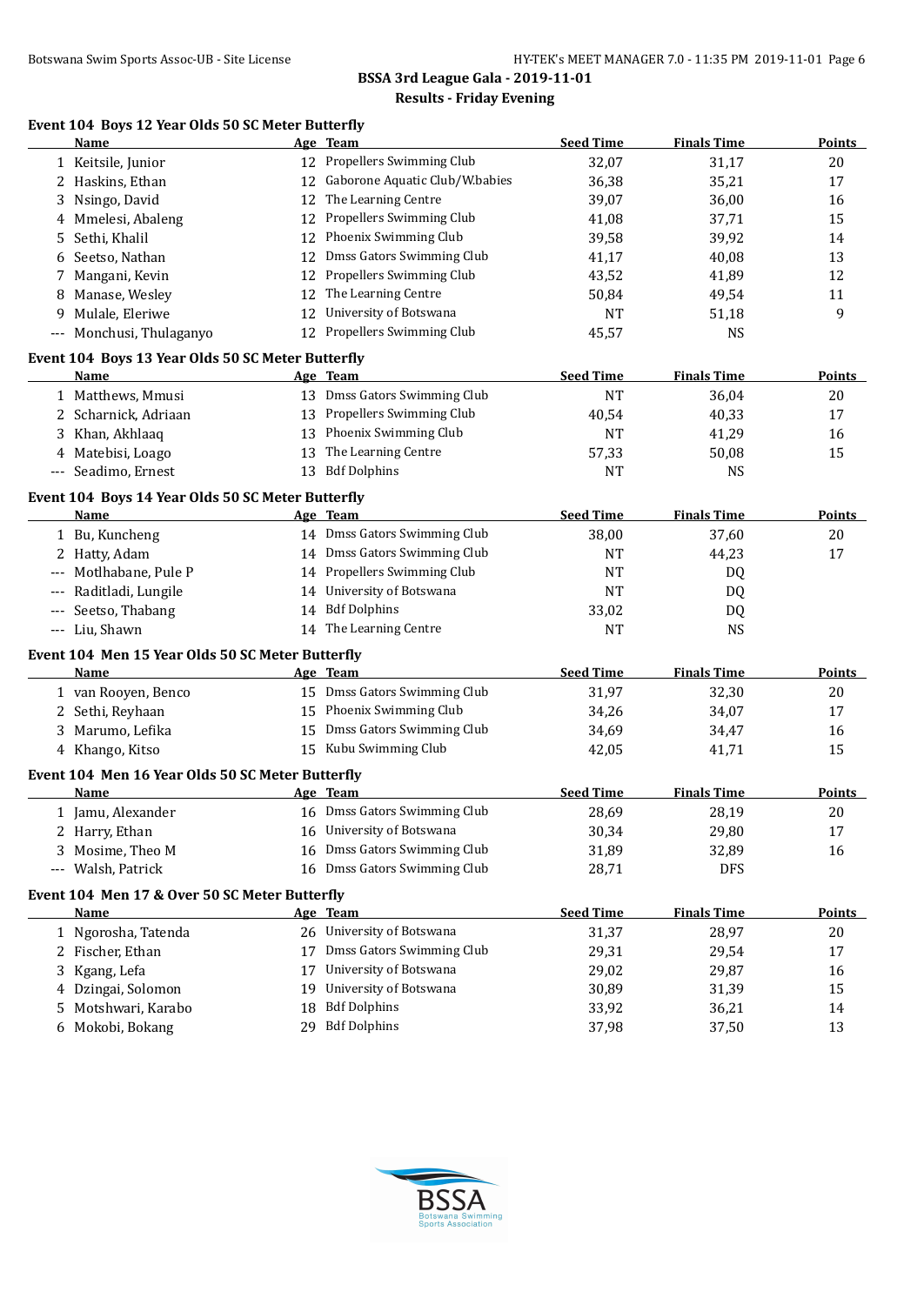#### **Event 104 Boys 12 Year Olds 50 SC Meter Butterfly**

|              | Name                                                      |    | Age Team                       | <b>Seed Time</b>   | <b>Finals Time</b> | <b>Points</b> |
|--------------|-----------------------------------------------------------|----|--------------------------------|--------------------|--------------------|---------------|
|              | 1 Keitsile, Junior                                        |    | 12 Propellers Swimming Club    | 32,07              | 31,17              | 20            |
| $\mathbf{2}$ | Haskins, Ethan                                            | 12 | Gaborone Aquatic Club/W.babies | 36,38              | 35,21              | 17            |
| 3            | Nsingo, David                                             | 12 | The Learning Centre            | 39,07              | 36,00              | 16            |
| 4            | Mmelesi, Abaleng                                          | 12 | Propellers Swimming Club       | 41,08              | 37,71              | 15            |
| 5            | Sethi, Khalil                                             | 12 | Phoenix Swimming Club          | 39,58              | 39,92              | 14            |
| 6            | Seetso, Nathan                                            | 12 | Dmss Gators Swimming Club      | 41,17              | 40,08              | 13            |
| 7            | Mangani, Kevin                                            | 12 | Propellers Swimming Club       | 43,52              | 41,89              | 12            |
| 8            | Manase, Wesley                                            | 12 | The Learning Centre            | 50,84              | 49,54              | 11            |
| 9            | Mulale, Eleriwe                                           | 12 | University of Botswana         | <b>NT</b>          | 51,18              | 9             |
|              | --- Monchusi, Thulaganyo                                  |    | 12 Propellers Swimming Club    | 45,57              | <b>NS</b>          |               |
|              | Event 104 Boys 13 Year Olds 50 SC Meter Butterfly         |    |                                |                    |                    |               |
|              | Name                                                      |    | Age Team                       | <b>Seed Time</b>   | <b>Finals Time</b> | <b>Points</b> |
|              | 1 Matthews, Mmusi                                         |    | 13 Dmss Gators Swimming Club   | <b>NT</b>          | 36,04              | 20            |
|              | 2 Scharnick, Adriaan                                      |    | 13 Propellers Swimming Club    | 40,54              | 40,33              | 17            |
|              | 3 Khan, Akhlaaq                                           | 13 | Phoenix Swimming Club          | <b>NT</b>          | 41,29              | 16            |
|              | 4 Matebisi, Loago                                         | 13 | The Learning Centre            | 57,33              | 50,08              | 15            |
|              | --- Seadimo, Ernest                                       |    | 13 Bdf Dolphins                | <b>NT</b>          | <b>NS</b>          |               |
|              |                                                           |    |                                |                    |                    |               |
|              | Event 104 Boys 14 Year Olds 50 SC Meter Butterfly<br>Name |    | Age Team                       | <b>Seed Time</b>   | <b>Finals Time</b> | <b>Points</b> |
|              | 1 Bu, Kuncheng                                            |    | 14 Dmss Gators Swimming Club   | 38,00              | 37,60              | 20            |
|              | 2 Hatty, Adam                                             |    | 14 Dmss Gators Swimming Club   | NT                 | 44,23              | 17            |
|              | Motlhabane, Pule P                                        |    | 14 Propellers Swimming Club    | NT                 |                    |               |
|              | Raditladi, Lungile                                        | 14 | University of Botswana         | <b>NT</b>          | DQ                 |               |
|              |                                                           | 14 | <b>Bdf Dolphins</b>            |                    | DQ                 |               |
| $---$        | Seetso, Thabang<br>--- Liu, Shawn                         |    | 14 The Learning Centre         | 33,02<br><b>NT</b> | DQ<br><b>NS</b>    |               |
|              |                                                           |    |                                |                    |                    |               |
|              | Event 104 Men 15 Year Olds 50 SC Meter Butterfly          |    |                                |                    |                    |               |
|              | Name                                                      |    | Age Team                       | <b>Seed Time</b>   | <b>Finals Time</b> | <b>Points</b> |
|              | 1 van Rooyen, Benco                                       |    | 15 Dmss Gators Swimming Club   | 31,97              | 32,30              | 20            |
|              | 2 Sethi, Reyhaan                                          |    | 15 Phoenix Swimming Club       | 34,26              | 34,07              | 17            |
| 3.           | Marumo, Lefika                                            |    | 15 Dmss Gators Swimming Club   | 34,69              | 34,47              | 16            |
|              | 4 Khango, Kitso                                           |    | 15 Kubu Swimming Club          | 42,05              | 41,71              | 15            |
|              | Event 104 Men 16 Year Olds 50 SC Meter Butterfly          |    |                                |                    |                    |               |
|              | Name                                                      |    | Age Team                       | <b>Seed Time</b>   | <b>Finals Time</b> | <b>Points</b> |
|              | 1 Jamu, Alexander                                         |    | 16 Dmss Gators Swimming Club   | 28,69              | 28,19              | 20            |
|              | 2 Harry, Ethan                                            |    | 16 University of Botswana      | 30,34              | 29,80              | 17            |
|              | 3 Mosime, Theo M                                          |    | 16 Dmss Gators Swimming Club   | 31,89              | 32,89              | 16            |
|              | --- Walsh, Patrick                                        |    | 16 Dmss Gators Swimming Club   | 28,71              | <b>DFS</b>         |               |
|              | Event 104 Men 17 & Over 50 SC Meter Butterfly             |    |                                |                    |                    |               |
|              | <u>Name</u>                                               |    | Age Team                       | <b>Seed Time</b>   | <b>Finals Time</b> | Points        |
|              | 1 Ngorosha, Tatenda                                       |    | 26 University of Botswana      | 31,37              | 28,97              | 20            |
|              | 2 Fischer, Ethan                                          |    | 17 Dmss Gators Swimming Club   | 29,31              | 29,54              | 17            |
| 3            | Kgang, Lefa                                               | 17 | University of Botswana         | 29,02              | 29,87              | 16            |
| 4            | Dzingai, Solomon                                          | 19 | University of Botswana         | 30,89              | 31,39              | 15            |
| 5            | Motshwari, Karabo                                         | 18 | <b>Bdf Dolphins</b>            | 33,92              | 36,21              | 14            |
| 6            | Mokobi, Bokang                                            |    | 29 Bdf Dolphins                | 37,98              | 37,50              | 13            |
|              |                                                           |    |                                |                    |                    |               |

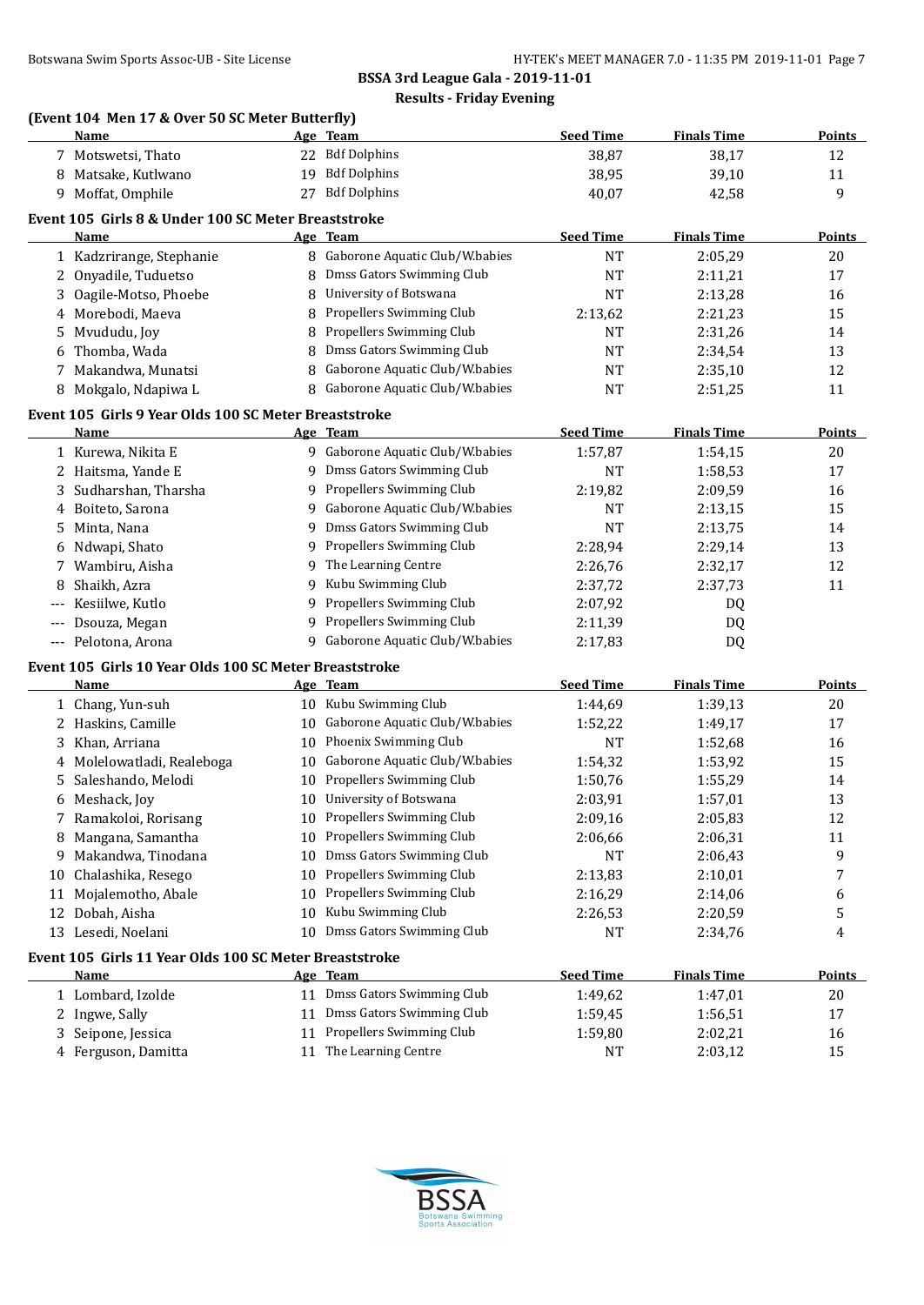# **(Event 104 Men 17 & Over 50 SC Meter Butterfly)**

|     | Name                                                   |    | Age Team                         | <b>Seed Time</b> | <b>Finals Time</b> | <b>Points</b> |
|-----|--------------------------------------------------------|----|----------------------------------|------------------|--------------------|---------------|
|     | 7 Motswetsi, Thato                                     |    | 22 Bdf Dolphins                  | 38,87            | 38,17              | 12            |
|     | 8 Matsake, Kutlwano                                    | 19 | <b>Bdf Dolphins</b>              | 38,95            | 39,10              | 11            |
|     | 9 Moffat, Omphile                                      | 27 | <b>Bdf Dolphins</b>              | 40,07            | 42,58              | 9             |
|     | Event 105 Girls 8 & Under 100 SC Meter Breaststroke    |    |                                  |                  |                    |               |
|     | Name                                                   |    | Age Team                         | <b>Seed Time</b> | <b>Finals Time</b> | <b>Points</b> |
|     | 1 Kadzrirange, Stephanie                               |    | 8 Gaborone Aquatic Club/W.babies | <b>NT</b>        | 2:05,29            | 20            |
|     | 2 Onyadile, Tuduetso                                   | 8  | Dmss Gators Swimming Club        | <b>NT</b>        | 2:11,21            | 17            |
| 3   | Oagile-Motso, Phoebe                                   | 8  | University of Botswana           | NT               | 2:13,28            | 16            |
| 4   | Morebodi, Maeva                                        | 8  | Propellers Swimming Club         | 2:13,62          | 2:21,23            | 15            |
|     | Mvududu, Joy                                           | 8  | Propellers Swimming Club         | <b>NT</b>        | 2:31,26            |               |
| 5   | Thomba, Wada                                           | 8  | Dmss Gators Swimming Club        | <b>NT</b>        | 2:34,54            | 14<br>13      |
| 6   |                                                        | 8  | Gaborone Aquatic Club/W.babies   |                  |                    |               |
| 7   | Makandwa, Munatsi                                      |    | Gaborone Aquatic Club/W.babies   | <b>NT</b>        | 2:35,10            | 12            |
|     | 8 Mokgalo, Ndapiwa L                                   | 8  |                                  | <b>NT</b>        | 2:51,25            | 11            |
|     | Event 105 Girls 9 Year Olds 100 SC Meter Breaststroke  |    |                                  |                  |                    |               |
|     | Name                                                   |    | Age Team                         | <b>Seed Time</b> | <b>Finals Time</b> | <b>Points</b> |
|     | 1 Kurewa, Nikita E                                     |    | 9 Gaborone Aquatic Club/W.babies | 1:57,87          | 1:54,15            | 20            |
|     | 2 Haitsma, Yande E                                     | 9  | Dmss Gators Swimming Club        | <b>NT</b>        | 1:58,53            | 17            |
| 3   | Sudharshan, Tharsha                                    | 9  | Propellers Swimming Club         | 2:19,82          | 2:09,59            | 16            |
| 4   | Boiteto, Sarona                                        | 9  | Gaborone Aquatic Club/W.babies   | <b>NT</b>        | 2:13,15            | 15            |
| 5   | Minta, Nana                                            | 9  | Dmss Gators Swimming Club        | <b>NT</b>        | 2:13,75            | 14            |
| 6   | Ndwapi, Shato                                          | 9  | Propellers Swimming Club         | 2:28,94          | 2:29,14            | 13            |
| 7   | Wambiru, Aisha                                         | 9  | The Learning Centre              | 2:26,76          | 2:32,17            | 12            |
| 8   | Shaikh, Azra                                           | 9  | Kubu Swimming Club               | 2:37,72          | 2:37,73            | 11            |
|     | Kesiilwe, Kutlo                                        | 9  | Propellers Swimming Club         | 2:07,92          | DQ                 |               |
| --- | Dsouza, Megan                                          | 9  | Propellers Swimming Club         | 2:11,39          | DQ                 |               |
| --- | Pelotona, Arona                                        | 9  | Gaborone Aquatic Club/W.babies   | 2:17,83          | DQ                 |               |
|     | Event 105 Girls 10 Year Olds 100 SC Meter Breaststroke |    |                                  |                  |                    |               |
|     | Name                                                   |    | Age Team                         | <b>Seed Time</b> | <b>Finals Time</b> | <b>Points</b> |
|     | 1 Chang, Yun-suh                                       |    | 10 Kubu Swimming Club            | 1:44,69          | 1:39,13            | 20            |
|     | 2 Haskins, Camille                                     | 10 | Gaborone Aquatic Club/W.babies   | 1:52,22          | 1:49,17            | 17            |
| 3   | Khan, Arriana                                          | 10 | Phoenix Swimming Club            | <b>NT</b>        | 1:52,68            | 16            |
| 4   | Molelowatladi, Realeboga                               | 10 | Gaborone Aquatic Club/W.babies   | 1:54,32          | 1:53,92            | 15            |
| 5   | Saleshando, Melodi                                     | 10 | Propellers Swimming Club         | 1:50,76          | 1:55,29            | 14            |
|     | 6 Meshack, Joy                                         | 10 | University of Botswana           | 2:03,91          | 1:57,01            | 13            |
|     | 7 Ramakoloi, Rorisang                                  |    | 10 Propellers Swimming Club      | 2:09,16          | 2:05,83            | 12            |
|     | 8 Mangana, Samantha                                    |    | 10 Propellers Swimming Club      | 2:06,66          | 2:06,31            |               |
|     | 9 Makandwa, Tinodana                                   | 10 | Dmss Gators Swimming Club        | NT               | 2:06,43            | 11<br>9       |
|     | Chalashika, Resego                                     |    | Propellers Swimming Club         |                  |                    |               |
| 10  | Mojalemotho, Abale                                     | 10 | Propellers Swimming Club         | 2:13,83          | 2:10,01            | 7             |
| 11  |                                                        | 10 | Kubu Swimming Club               | 2:16,29          | 2:14,06            | 6             |
| 12  | Dobah, Aisha                                           | 10 |                                  | 2:26,53          | 2:20,59            | 5             |
|     | 13 Lesedi, Noelani                                     | 10 | Dmss Gators Swimming Club        | NT               | 2:34,76            | 4             |
|     | Event 105 Girls 11 Year Olds 100 SC Meter Breaststroke |    |                                  |                  |                    |               |
|     | <b>Name</b>                                            |    | Age Team                         | <b>Seed Time</b> | <b>Finals Time</b> | <b>Points</b> |
|     | 1 Lombard, Izolde                                      |    | 11 Dmss Gators Swimming Club     | 1:49,62          | 1:47,01            | 20            |
|     | 2 Ingwe, Sally                                         | 11 | Dmss Gators Swimming Club        | 1:59,45          | 1:56,51            | 17            |
| 3   | Seipone, Jessica                                       | 11 | Propellers Swimming Club         | 1:59,80          | 2:02,21            | 16            |
|     | 4 Ferguson, Damitta                                    |    | 11 The Learning Centre           | NT               | 2:03,12            | 15            |

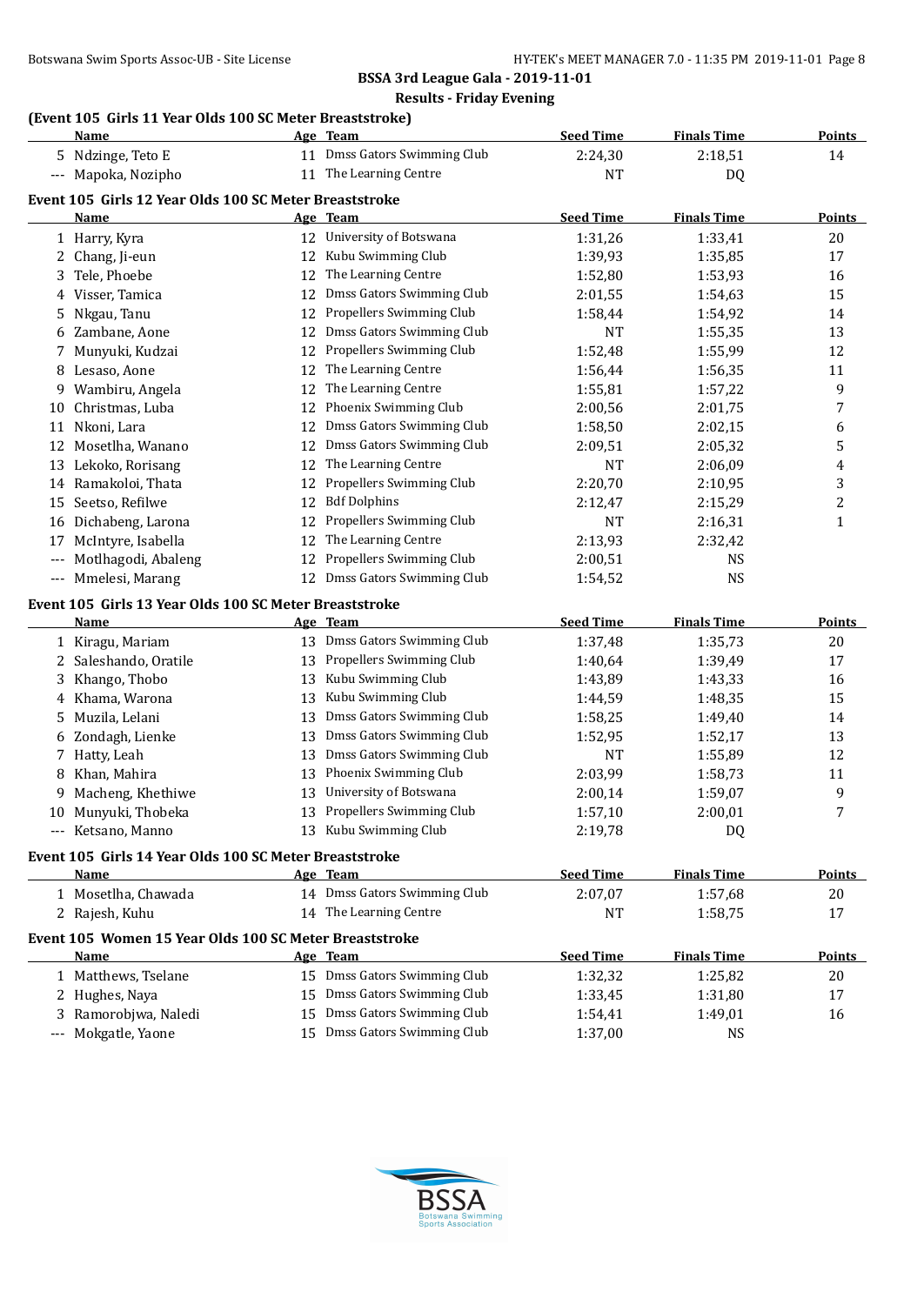#### **(Event 105 Girls 11 Year Olds 100 SC Meter Breaststroke)**

|          | <u>Name</u>                                                           |    | Age Team                                 | <b>Seed Time</b> | <b>Finals Time</b> | <b>Points</b>           |
|----------|-----------------------------------------------------------------------|----|------------------------------------------|------------------|--------------------|-------------------------|
|          | 5 Ndzinge, Teto E                                                     |    | 11 Dmss Gators Swimming Club             | 2:24,30          | 2:18,51            | 14                      |
|          | --- Mapoka, Nozipho                                                   |    | 11 The Learning Centre                   | <b>NT</b>        | DQ                 |                         |
|          | Event 105 Girls 12 Year Olds 100 SC Meter Breaststroke                |    |                                          |                  |                    |                         |
|          | <u>Name</u>                                                           |    | Age Team                                 | <b>Seed Time</b> | <b>Finals Time</b> | <b>Points</b>           |
|          | 1 Harry, Kyra                                                         |    | 12 University of Botswana                | 1:31,26          | 1:33,41            | 20                      |
|          | 2 Chang, Ji-eun                                                       |    | 12 Kubu Swimming Club                    | 1:39,93          | 1:35,85            | 17                      |
|          | Tele, Phoebe                                                          |    | 12 The Learning Centre                   | 1:52,80          | 1:53,93            | 16                      |
| 4        | Visser, Tamica                                                        | 12 | Dmss Gators Swimming Club                | 2:01,55          | 1:54,63            | 15                      |
| 5        | Nkgau, Tanu                                                           | 12 | Propellers Swimming Club                 | 1:58,44          | 1:54,92            | 14                      |
| 6        | Zambane, Aone                                                         | 12 | Dmss Gators Swimming Club                | <b>NT</b>        | 1:55,35            | 13                      |
| 7        | Munyuki, Kudzai                                                       | 12 | Propellers Swimming Club                 | 1:52,48          | 1:55,99            | 12                      |
| 8        | Lesaso, Aone                                                          | 12 | The Learning Centre                      | 1:56,44          | 1:56,35            | 11                      |
| 9.       | Wambiru, Angela                                                       | 12 | The Learning Centre                      | 1:55,81          | 1:57,22            | 9                       |
| 10       | Christmas, Luba                                                       | 12 | Phoenix Swimming Club                    | 2:00,56          | 2:01,75            | 7                       |
| 11       | Nkoni, Lara                                                           | 12 | Dmss Gators Swimming Club                | 1:58,50          | 2:02,15            | 6                       |
|          | 12 Mosetlha, Wanano                                                   | 12 | Dmss Gators Swimming Club                | 2:09,51          | 2:05,32            | 5                       |
|          | 13 Lekoko, Rorisang                                                   | 12 | The Learning Centre                      | <b>NT</b>        | 2:06,09            | 4                       |
|          | 14 Ramakoloi, Thata                                                   | 12 | Propellers Swimming Club                 | 2:20,70          | 2:10,95            | 3                       |
|          | 15 Seetso, Refilwe                                                    | 12 | <b>Bdf Dolphins</b>                      | 2:12,47          | 2:15,29            | $\overline{\mathbf{c}}$ |
|          | 16 Dichabeng, Larona                                                  | 12 | Propellers Swimming Club                 | <b>NT</b>        | 2:16,31            | $\mathbf{1}$            |
|          | 17 McIntyre, Isabella                                                 | 12 | The Learning Centre                      | 2:13,93          | 2:32,42            |                         |
| $\cdots$ | Motlhagodi, Abaleng                                                   | 12 | Propellers Swimming Club                 | 2:00,51          | <b>NS</b>          |                         |
|          | --- Mmelesi, Marang                                                   | 12 | Dmss Gators Swimming Club                | 1:54,52          | <b>NS</b>          |                         |
|          |                                                                       |    |                                          |                  |                    |                         |
|          | Event 105 Girls 13 Year Olds 100 SC Meter Breaststroke<br><u>Name</u> |    | Age Team                                 | <b>Seed Time</b> | <b>Finals Time</b> | <b>Points</b>           |
|          | 1 Kiragu, Mariam                                                      |    | 13 Dmss Gators Swimming Club             | 1:37,48          | 1:35,73            | 20                      |
|          | 2 Saleshando, Oratile                                                 | 13 | Propellers Swimming Club                 | 1:40,64          | 1:39,49            | 17                      |
|          | 3 Khango, Thobo                                                       | 13 | Kubu Swimming Club                       | 1:43,89          | 1:43,33            | 16                      |
|          | 4 Khama, Warona                                                       | 13 | Kubu Swimming Club                       | 1:44,59          | 1:48,35            | 15                      |
| 5        | Muzila, Lelani                                                        | 13 | Dmss Gators Swimming Club                | 1:58,25          | 1:49,40            | 14                      |
| 6        | Zondagh, Lienke                                                       | 13 | Dmss Gators Swimming Club                | 1:52,95          | 1:52,17            | 13                      |
| 7        | Hatty, Leah                                                           | 13 | Dmss Gators Swimming Club                | <b>NT</b>        | 1:55,89            | 12                      |
| 8        | Khan, Mahira                                                          | 13 | Phoenix Swimming Club                    | 2:03,99          | 1:58,73            | 11                      |
| 9        | Macheng, Khethiwe                                                     | 13 | University of Botswana                   | 2:00,14          | 1:59,07            | 9                       |
|          | 10 Munyuki, Thobeka                                                   |    | 13 Propellers Swimming Club              | 1:57,10          | 2:00,01            | 7                       |
|          | --- Ketsano, Manno                                                    |    | 13 Kubu Swimming Club                    | 2:19,78          | DQ                 |                         |
|          |                                                                       |    |                                          |                  |                    |                         |
|          | Event 105 Girls 14 Year Olds 100 SC Meter Breaststroke<br><b>Name</b> |    |                                          | <b>Seed Time</b> | <b>Finals Time</b> | <b>Points</b>           |
|          |                                                                       |    | Age Team<br>14 Dmss Gators Swimming Club |                  |                    |                         |
|          | 1 Mosetlha, Chawada                                                   |    | 14 The Learning Centre                   | 2:07,07          | 1:57,68            | 20                      |
|          | 2 Rajesh, Kuhu                                                        |    |                                          | <b>NT</b>        | 1:58,75            | 17                      |
|          | Event 105 Women 15 Year Olds 100 SC Meter Breaststroke                |    |                                          |                  |                    |                         |
|          | <b>Name</b>                                                           |    | Age Team                                 | <b>Seed Time</b> | <b>Finals Time</b> | <b>Points</b>           |
|          | 1 Matthews, Tselane                                                   |    | 15 Dmss Gators Swimming Club             | 1:32,32          | 1:25,82            | 20                      |
|          | 2 Hughes, Naya                                                        | 15 | Dmss Gators Swimming Club                | 1:33,45          | 1:31,80            | 17                      |
| 3        | Ramorobjwa, Naledi                                                    | 15 | Dmss Gators Swimming Club                | 1:54,41          | 1:49,01            | 16                      |
| $---$    | Mokgatle, Yaone                                                       |    | 15 Dmss Gators Swimming Club             | 1:37,00          | <b>NS</b>          |                         |

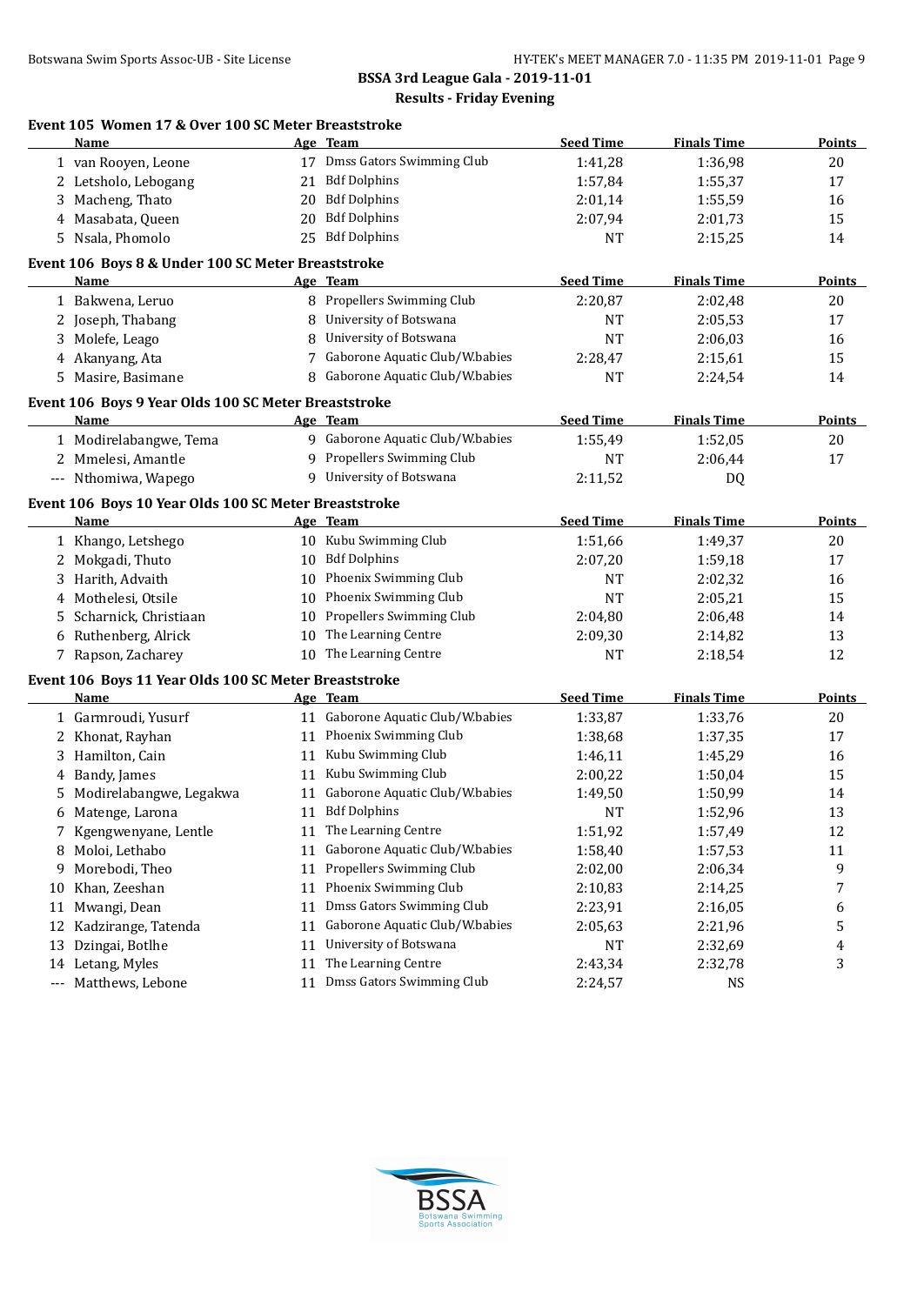|       | Event 105 Women 17 & Over 100 SC Meter Breaststroke<br>Name   |    | Age Team                          | <b>Seed Time</b>     | <b>Finals Time</b> | <b>Points</b> |
|-------|---------------------------------------------------------------|----|-----------------------------------|----------------------|--------------------|---------------|
|       | 1 van Rooyen, Leone                                           |    | 17 Dmss Gators Swimming Club      | 1:41,28              | 1:36,98            | 20            |
|       | 2 Letsholo, Lebogang                                          |    | 21 Bdf Dolphins                   | 1:57,84              | 1:55,37            | 17            |
| 3.    | Macheng, Thato                                                |    | 20 Bdf Dolphins                   | 2:01,14              | 1:55,59            | 16            |
|       | Masabata, Queen                                               | 20 | <b>Bdf Dolphins</b>               | 2:07,94              | 2:01,73            | 15            |
|       | 5 Nsala, Phomolo                                              |    | 25 Bdf Dolphins                   | NT                   | 2:15,25            | 14            |
|       | Event 106 Boys 8 & Under 100 SC Meter Breaststroke            |    |                                   |                      |                    |               |
|       | Name                                                          |    | Age Team                          | <b>Seed Time</b>     | <b>Finals Time</b> | Points        |
|       | 1 Bakwena, Leruo                                              |    | 8 Propellers Swimming Club        | 2:20,87              | 2:02,48            | 20            |
|       | 2 Joseph, Thabang                                             |    | 8 University of Botswana          | NT                   | 2:05,53            | 17            |
| 3     | Molefe, Leago                                                 |    | 8 University of Botswana          | <b>NT</b>            | 2:06,03            | 16            |
|       | 4 Akanyang, Ata                                               |    | 7 Gaborone Aquatic Club/W.babies  | 2:28,47              | 2:15,61            | 15            |
| 5.    | Masire, Basimane                                              |    | 8 Gaborone Aquatic Club/W.babies  | <b>NT</b>            | 2:24,54            | 14            |
|       | Event 106 Boys 9 Year Olds 100 SC Meter Breaststroke          |    |                                   |                      |                    |               |
|       | Name                                                          |    | Age Team                          | <b>Seed Time</b>     | <b>Finals Time</b> | <b>Points</b> |
|       | 1 Modirelabangwe, Tema                                        |    | 9 Gaborone Aquatic Club/W.babies  | 1:55,49              | 1:52,05            | 20            |
| 2     | Mmelesi, Amantle                                              |    | 9 Propellers Swimming Club        | <b>NT</b>            | 2:06,44            | 17            |
|       | --- Nthomiwa, Wapego                                          |    | 9 University of Botswana          | 2:11,52              | DQ                 |               |
|       | Event 106 Boys 10 Year Olds 100 SC Meter Breaststroke         |    |                                   |                      |                    |               |
|       | Name                                                          |    | Age Team                          | <b>Seed Time</b>     | <b>Finals Time</b> | <b>Points</b> |
|       | 1 Khango, Letshego                                            |    | 10 Kubu Swimming Club             | 1:51,66              | 1:49,37            | 20            |
|       | 2 Mokgadi, Thuto                                              |    | 10 Bdf Dolphins                   | 2:07,20              | 1:59,18            | 17            |
|       | 3 Harith, Advaith                                             |    | 10 Phoenix Swimming Club          | NT                   | 2:02,32            | 16            |
| 4     | Mothelesi, Otsile                                             |    | 10 Phoenix Swimming Club          | <b>NT</b>            | 2:05,21            | 15            |
| 5     | Scharnick, Christiaan                                         |    | 10 Propellers Swimming Club       | 2:04,80              | 2:06,48            | 14            |
| 6     | Ruthenberg, Alrick                                            |    | 10 The Learning Centre            | 2:09,30              | 2:14,82            | 13            |
| 7     | Rapson, Zacharey                                              |    | 10 The Learning Centre            | <b>NT</b>            | 2:18,54            | 12            |
|       |                                                               |    |                                   |                      |                    |               |
|       | Event 106 Boys 11 Year Olds 100 SC Meter Breaststroke<br>Name |    | Age Team                          | <b>Seed Time</b>     | <b>Finals Time</b> | <b>Points</b> |
|       | 1 Garmroudi, Yusurf                                           |    | 11 Gaborone Aquatic Club/W.babies | 1:33,87              | 1:33,76            | 20            |
|       | 2 Khonat, Rayhan                                              |    | 11 Phoenix Swimming Club          | 1:38,68              | 1:37,35            | 17            |
|       | 3 Hamilton, Cain                                              |    | 11 Kubu Swimming Club             | 1:46,11              | 1:45,29            |               |
| 4     | Bandy, James                                                  |    | 11 Kubu Swimming Club             |                      | 1:50,04            | 16<br>15      |
|       |                                                               |    | 11 Gaborone Aquatic Club/W.babies | 2:00,22              | 1:50,99            | 14            |
|       | Modirelabangwe, Legakwa                                       |    | 11 Bdf Dolphins                   | 1:49,50<br><b>NT</b> | 1:52,96            | 13            |
|       | 6 Matenge, Larona                                             |    | 11 The Learning Centre            |                      |                    |               |
| 7     | Kgengwenyane, Lentle                                          |    | Gaborone Aquatic Club/W.babies    | 1:51,92              | 1:57,49            | 12            |
| 8     | Moloi, Lethabo                                                | 11 | Propellers Swimming Club          | 1:58,40              | 1:57,53            | 11            |
| 9     | Morebodi, Theo                                                | 11 |                                   | 2:02,00              | 2:06,34            | 9             |
| 10    | Khan, Zeeshan                                                 | 11 | Phoenix Swimming Club             | 2:10,83              | 2:14,25            | 7             |
| 11    | Mwangi, Dean                                                  | 11 | Dmss Gators Swimming Club         | 2:23,91              | 2:16,05            | 6             |
| 12    | Kadzirange, Tatenda                                           | 11 | Gaborone Aquatic Club/W.babies    | 2:05,63              | 2:21,96            | 5             |
| 13    | Dzingai, Botlhe                                               | 11 | University of Botswana            | NT                   | 2:32,69            | 4             |
|       | 14 Letang, Myles                                              | 11 | The Learning Centre               | 2:43,34              | 2:32,78            | 3             |
| $---$ | Matthews, Lebone                                              | 11 | Dmss Gators Swimming Club         | 2:24,57              | <b>NS</b>          |               |

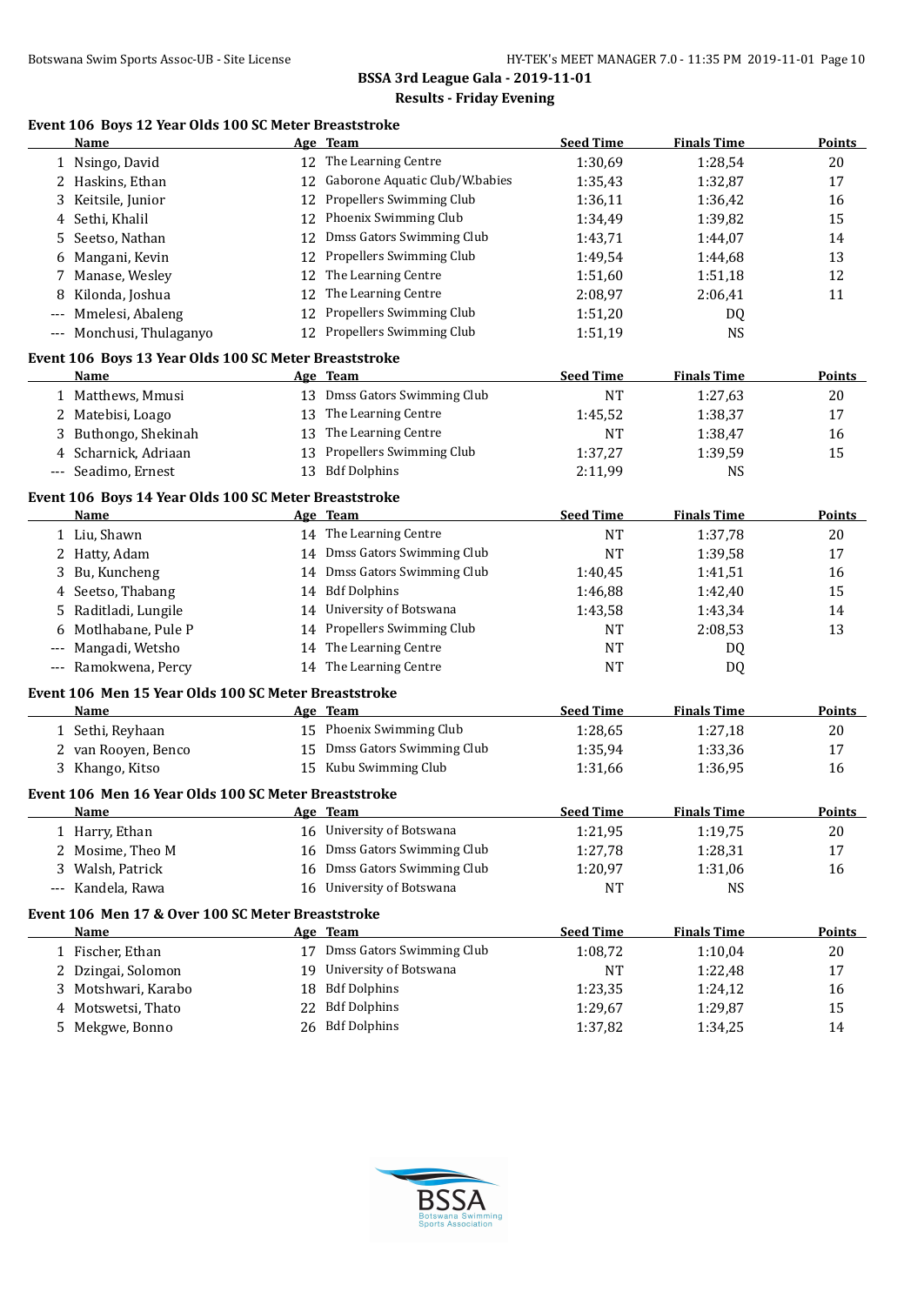#### **Event 106 Boys 12 Year Olds 100 SC Meter Breaststroke**

|    | Name                                                                |    | Age Team                       | <b>Seed Time</b> | <b>Finals Time</b> | <b>Points</b> |
|----|---------------------------------------------------------------------|----|--------------------------------|------------------|--------------------|---------------|
|    | 1 Nsingo, David                                                     |    | 12 The Learning Centre         | 1:30,69          | 1:28,54            | 20            |
|    | 2 Haskins, Ethan                                                    | 12 | Gaborone Aquatic Club/W.babies | 1:35,43          | 1:32,87            | 17            |
|    | 3 Keitsile, Junior                                                  | 12 | Propellers Swimming Club       | 1:36,11          | 1:36,42            | 16            |
|    | 4 Sethi, Khalil                                                     | 12 | Phoenix Swimming Club          | 1:34,49          | 1:39,82            | 15            |
| 5  | Seetso, Nathan                                                      | 12 | Dmss Gators Swimming Club      | 1:43,71          | 1:44,07            | 14            |
| 6  | Mangani, Kevin                                                      | 12 | Propellers Swimming Club       | 1:49,54          | 1:44,68            | 13            |
| 7  | Manase, Wesley                                                      | 12 | The Learning Centre            | 1:51,60          | 1:51,18            | 12            |
| 8  | Kilonda, Joshua                                                     | 12 | The Learning Centre            | 2:08,97          | 2:06,41            | 11            |
|    | Mmelesi, Abaleng                                                    | 12 | Propellers Swimming Club       | 1:51,20          | DQ                 |               |
|    | --- Monchusi, Thulaganyo                                            |    | 12 Propellers Swimming Club    | 1:51,19          | <b>NS</b>          |               |
|    |                                                                     |    |                                |                  |                    |               |
|    | Event 106 Boys 13 Year Olds 100 SC Meter Breaststroke<br>Name       |    | Age Team                       | <b>Seed Time</b> | <b>Finals Time</b> | <b>Points</b> |
|    | 1 Matthews, Mmusi                                                   |    | 13 Dmss Gators Swimming Club   | NT               | 1:27,63            | 20            |
|    |                                                                     | 13 | The Learning Centre            |                  |                    |               |
|    | 2 Matebisi, Loago                                                   |    | The Learning Centre            | 1:45,52          | 1:38,37            | 17            |
|    | 3 Buthongo, Shekinah                                                | 13 |                                | <b>NT</b>        | 1:38,47            | 16            |
|    | 4 Scharnick, Adriaan                                                |    | 13 Propellers Swimming Club    | 1:37,27          | 1:39,59            | 15            |
|    | --- Seadimo, Ernest                                                 |    | 13 Bdf Dolphins                | 2:11,99          | <b>NS</b>          |               |
|    | Event 106 Boys 14 Year Olds 100 SC Meter Breaststroke               |    |                                |                  |                    |               |
|    | Name                                                                |    | Age Team                       | <b>Seed Time</b> | <b>Finals Time</b> | <b>Points</b> |
|    | 1 Liu, Shawn                                                        |    | 14 The Learning Centre         | NT               | 1:37,78            | 20            |
|    | 2 Hatty, Adam                                                       |    | 14 Dmss Gators Swimming Club   | <b>NT</b>        | 1:39,58            | 17            |
|    | 3 Bu, Kuncheng                                                      | 14 | Dmss Gators Swimming Club      | 1:40,45          | 1:41,51            | 16            |
|    | 4 Seetso, Thabang                                                   | 14 | <b>Bdf Dolphins</b>            | 1:46,88          | 1:42,40            | 15            |
| 5. | Raditladi, Lungile                                                  | 14 | University of Botswana         | 1:43,58          | 1:43,34            | 14            |
| 6  | Motlhabane, Pule P                                                  | 14 | Propellers Swimming Club       | <b>NT</b>        | 2:08,53            | 13            |
|    | Mangadi, Wetsho                                                     | 14 | The Learning Centre            | <b>NT</b>        | DQ                 |               |
|    | --- Ramokwena, Percy                                                | 14 | The Learning Centre            | <b>NT</b>        | DQ                 |               |
|    | Event 106 Men 15 Year Olds 100 SC Meter Breaststroke                |    |                                |                  |                    |               |
|    | <b>Name</b>                                                         |    | Age Team                       | <b>Seed Time</b> | <b>Finals Time</b> | <b>Points</b> |
|    | 1 Sethi, Reyhaan                                                    |    | 15 Phoenix Swimming Club       | 1:28,65          | 1:27,18            | 20            |
|    | 2 van Rooyen, Benco                                                 |    | 15 Dmss Gators Swimming Club   | 1:35,94          | 1:33,36            | 17            |
|    | 3 Khango, Kitso                                                     |    | 15 Kubu Swimming Club          | 1:31,66          | 1:36,95            | 16            |
|    |                                                                     |    |                                |                  |                    |               |
|    | Event 106 Men 16 Year Olds 100 SC Meter Breaststroke<br><b>Name</b> |    | Age Team                       | <b>Seed Time</b> | <b>Finals Time</b> | <b>Points</b> |
|    |                                                                     |    | 16 University of Botswana      |                  |                    |               |
|    | 1 Harry, Ethan                                                      |    | 16 Dmss Gators Swimming Club   | 1:21,95          | 1:19,75            | 20            |
|    | 2 Mosime, Theo M                                                    |    | Dmss Gators Swimming Club      | 1:27,78          | 1:28,31            | 17            |
|    | 3 Walsh, Patrick                                                    | 16 |                                | 1:20,97          | 1:31,06            | 16            |
|    | --- Kandela, Rawa                                                   |    | 16 University of Botswana      | NT               | <b>NS</b>          |               |
|    | Event 106 Men 17 & Over 100 SC Meter Breaststroke                   |    |                                |                  |                    |               |
|    | Name                                                                |    | Age Team                       | <b>Seed Time</b> | <b>Finals Time</b> | <b>Points</b> |
|    | 1 Fischer, Ethan                                                    |    | 17 Dmss Gators Swimming Club   | 1:08,72          | 1:10,04            | 20            |
|    | 2 Dzingai, Solomon                                                  | 19 | University of Botswana         | NT               | 1:22,48            | 17            |
| 3. | Motshwari, Karabo                                                   | 18 | <b>Bdf Dolphins</b>            | 1:23,35          | 1:24,12            | 16            |
| 4  | Motswetsi, Thato                                                    | 22 | <b>Bdf Dolphins</b>            | 1:29,67          | 1:29,87            | 15            |
|    | 5 Mekgwe, Bonno                                                     | 26 | <b>Bdf Dolphins</b>            | 1:37,82          | 1:34,25            | 14            |

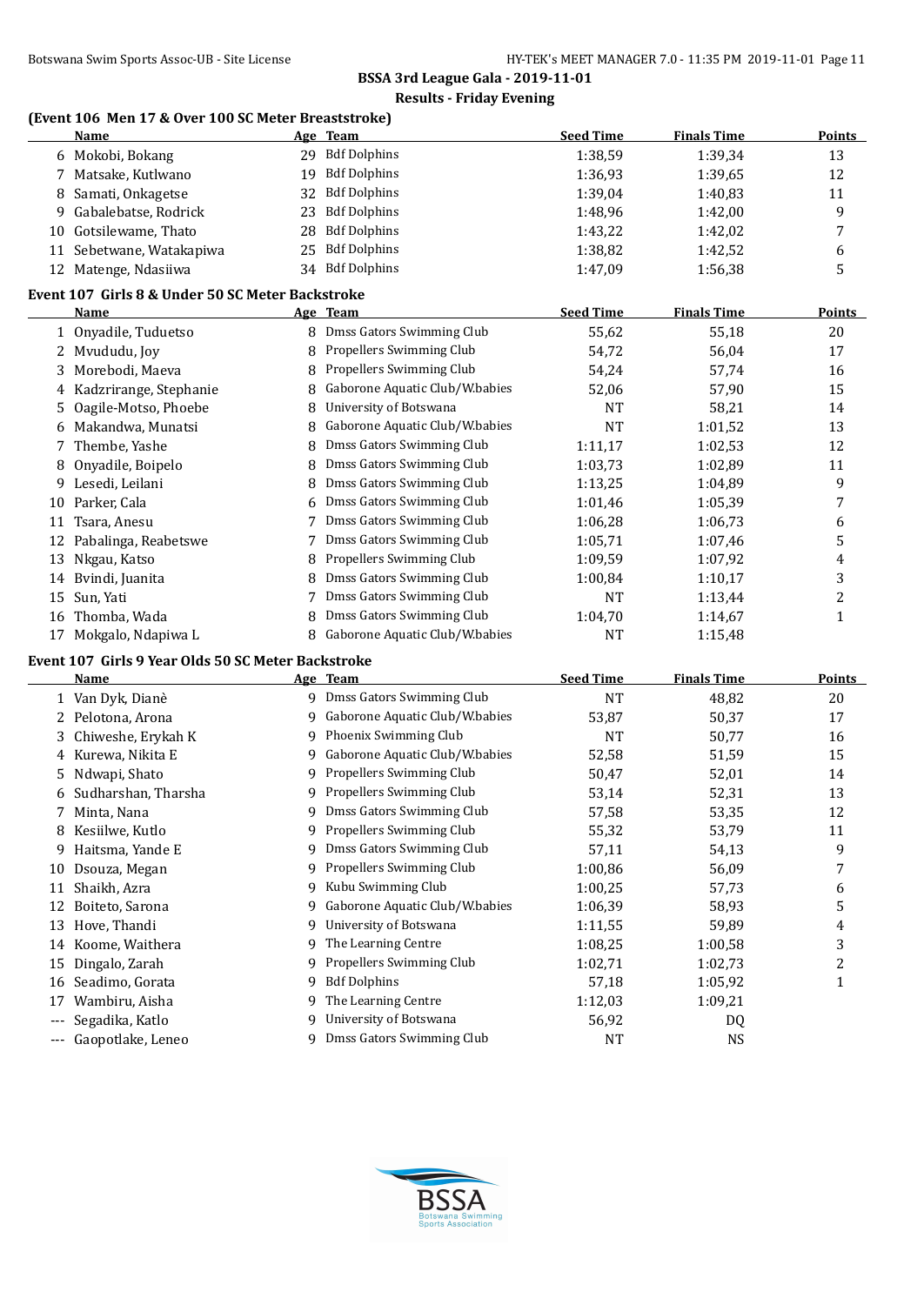## **(Event 106 Men 17 & Over 100 SC Meter Breaststroke)**

|    | (EVENT TOO MEN IT & OVER TOO SC METER DI CASISTIONE)<br>Name |    | Age Team                       | <b>Seed Time</b> | <b>Finals Time</b> | <b>Points</b>  |
|----|--------------------------------------------------------------|----|--------------------------------|------------------|--------------------|----------------|
|    | 6 Mokobi, Bokang                                             | 29 | <b>Bdf Dolphins</b>            | 1:38,59          | 1:39,34            | 13             |
|    | Matsake, Kutlwano                                            | 19 | <b>Bdf Dolphins</b>            | 1:36,93          | 1:39,65            | 12             |
| 8  | Samati, Onkagetse                                            | 32 | <b>Bdf Dolphins</b>            | 1:39,04          | 1:40,83            | 11             |
| 9  | Gabalebatse, Rodrick                                         | 23 | <b>Bdf Dolphins</b>            | 1:48,96          | 1:42,00            | 9              |
| 10 | Gotsilewame, Thato                                           | 28 | <b>Bdf Dolphins</b>            | 1:43,22          | 1:42,02            | 7              |
| 11 | Sebetwane, Watakapiwa                                        | 25 | <b>Bdf Dolphins</b>            | 1:38,82          | 1:42,52            | 6              |
| 12 | Matenge, Ndasiiwa                                            |    | 34 Bdf Dolphins                | 1:47,09          | 1:56,38            | 5              |
|    | Event 107 Girls 8 & Under 50 SC Meter Backstroke             |    |                                |                  |                    |                |
|    | Name                                                         |    | Age Team                       | <b>Seed Time</b> | <b>Finals Time</b> | Points         |
|    | Onyadile, Tuduetso                                           |    | Dmss Gators Swimming Club      | 55,62            | 55,18              | 20             |
| 2  | Mvududu, Joy                                                 | 8  | Propellers Swimming Club       | 54,72            | 56,04              | 17             |
| 3  | Morebodi. Maeva                                              | 8  | Propellers Swimming Club       | 54,24            | 57,74              | 16             |
| 4  | Kadzrirange, Stephanie                                       | 8  | Gaborone Aquatic Club/W.babies | 52,06            | 57,90              | 15             |
| 5. | Oagile-Motso, Phoebe                                         | 8  | University of Botswana         | <b>NT</b>        | 58,21              | 14             |
| 6  | Makandwa, Munatsi                                            | 8  | Gaborone Aquatic Club/W.babies | <b>NT</b>        | 1:01,52            | 13             |
|    | Thembe, Yashe                                                | 8  | Dmss Gators Swimming Club      | 1:11,17          | 1:02,53            | 12             |
| 8  | Onyadile, Boipelo                                            | 8  | Dmss Gators Swimming Club      | 1:03,73          | 1:02,89            | 11             |
| 9  | Lesedi, Leilani                                              | 8  | Dmss Gators Swimming Club      | 1:13,25          | 1:04,89            | 9              |
| 10 | Parker, Cala                                                 | 6  | Dmss Gators Swimming Club      | 1:01,46          | 1:05,39            | 7              |
| 11 | Tsara, Anesu                                                 |    | Dmss Gators Swimming Club      | 1:06,28          | 1:06,73            | 6              |
| 12 | Pabalinga, Reabetswe                                         |    | Dmss Gators Swimming Club      | 1:05,71          | 1:07,46            | 5              |
| 13 | Nkgau, Katso                                                 |    | Propellers Swimming Club       | 1:09.59          | 1:07,92            | 4              |
| 14 | Bvindi, Juanita                                              | 8  | Dmss Gators Swimming Club      | 1:00.84          | 1:10,17            | 3              |
| 15 | Sun, Yati                                                    |    | Dmss Gators Swimming Club      | <b>NT</b>        | 1:13,44            | $\overline{2}$ |
| 16 | Thomba, Wada                                                 |    | Dmss Gators Swimming Club      | 1:04,70          | 1:14,67            | $\mathbf{1}$   |
| 17 | Mokgalo, Ndapiwa L                                           | 8  | Gaborone Aquatic Club/W.babies | <b>NT</b>        | 1:15,48            |                |

#### **Event 107 Girls 9 Year Olds 50 SC Meter Backstroke**

|     | Name                  |   | Age Team                       | <b>Seed Time</b> | <b>Finals Time</b> | <b>Points</b> |
|-----|-----------------------|---|--------------------------------|------------------|--------------------|---------------|
|     | 1 Van Dyk, Dianè      | 9 | Dmss Gators Swimming Club      | NT               | 48,82              | 20            |
|     | 2 Pelotona, Arona     | 9 | Gaborone Aquatic Club/W.babies | 53,87            | 50,37              | 17            |
|     | 3 Chiweshe, Erykah K  | 9 | Phoenix Swimming Club          | NT               | 50,77              | 16            |
|     | 4 Kurewa, Nikita E    | 9 | Gaborone Aquatic Club/W.babies | 52,58            | 51,59              | 15            |
|     | 5 Ndwapi, Shato       | 9 | Propellers Swimming Club       | 50,47            | 52,01              | 14            |
|     | 6 Sudharshan, Tharsha | 9 | Propellers Swimming Club       | 53,14            | 52,31              | 13            |
|     | Minta, Nana           | 9 | Dmss Gators Swimming Club      | 57,58            | 53,35              | 12            |
| 8   | Kesiilwe, Kutlo       | 9 | Propellers Swimming Club       | 55,32            | 53,79              | 11            |
|     | Haitsma, Yande E      | 9 | Dmss Gators Swimming Club      | 57,11            | 54,13              | 9             |
| 10  | Dsouza, Megan         | 9 | Propellers Swimming Club       | 1:00,86          | 56,09              | 7             |
| 11  | Shaikh, Azra          | 9 | Kubu Swimming Club             | 1:00,25          | 57,73              | 6             |
| 12  | Boiteto, Sarona       | 9 | Gaborone Aquatic Club/W.babies | 1:06.39          | 58,93              | 5             |
| 13  | Hove, Thandi          | 9 | University of Botswana         | 1:11,55          | 59,89              | 4             |
| 14  | Koome, Waithera       | 9 | The Learning Centre            | 1:08,25          | 1:00,58            | 3             |
| 15  | Dingalo, Zarah        | 9 | Propellers Swimming Club       | 1:02,71          | 1:02,73            | 2             |
| 16  | Seadimo, Gorata       | 9 | <b>Bdf Dolphins</b>            | 57,18            | 1:05,92            |               |
| 17  | Wambiru, Aisha        | 9 | The Learning Centre            | 1:12,03          | 1:09,21            |               |
| --- | Segadika, Katlo       | 9 | University of Botswana         | 56,92            | DQ                 |               |
| --- | Gaopotlake, Leneo     | 9 | Dmss Gators Swimming Club      | NT               | <b>NS</b>          |               |
|     |                       |   |                                |                  |                    |               |

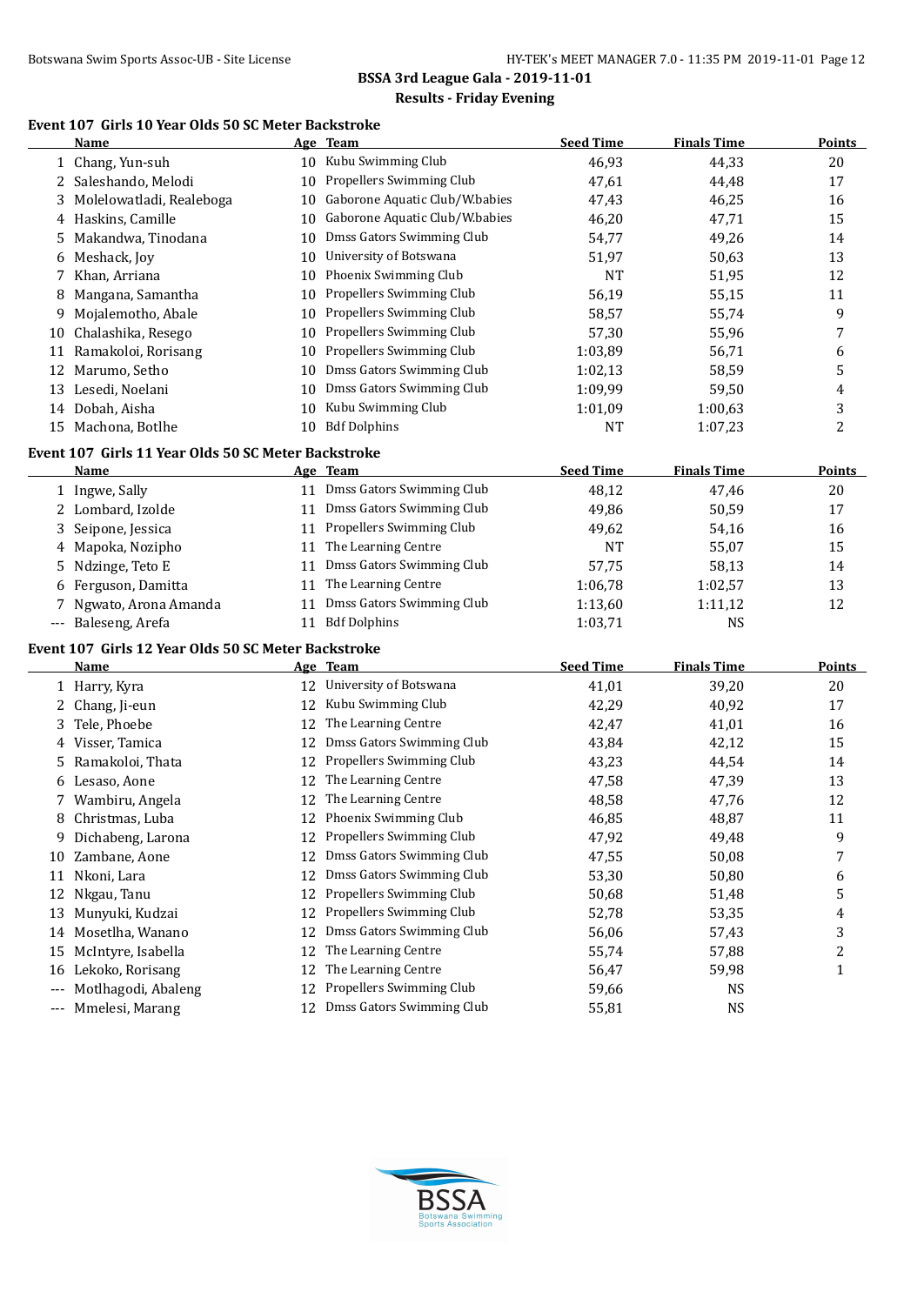#### **Event 107 Girls 10 Year Olds 50 SC Meter Backstroke**

|          | Name                                                |    | Age Team                       | <b>Seed Time</b> | <b>Finals Time</b> | <b>Points</b>  |
|----------|-----------------------------------------------------|----|--------------------------------|------------------|--------------------|----------------|
|          | 1 Chang, Yun-suh                                    |    | 10 Kubu Swimming Club          | 46,93            | 44,33              | 20             |
|          | 2 Saleshando, Melodi                                |    | 10 Propellers Swimming Club    | 47,61            | 44,48              | 17             |
| 3        | Molelowatladi, Realeboga                            | 10 | Gaborone Aquatic Club/W.babies | 47,43            | 46,25              | 16             |
|          | 4 Haskins, Camille                                  | 10 | Gaborone Aquatic Club/W.babies | 46,20            | 47,71              | 15             |
| 5.       | Makandwa, Tinodana                                  | 10 | Dmss Gators Swimming Club      | 54,77            | 49,26              | 14             |
| 6        | Meshack, Joy                                        | 10 | University of Botswana         | 51,97            | 50,63              | 13             |
|          | 7 Khan, Arriana                                     | 10 | Phoenix Swimming Club          | <b>NT</b>        | 51,95              | 12             |
| 8        | Mangana, Samantha                                   | 10 | Propellers Swimming Club       | 56,19            | 55,15              | 11             |
| 9        | Mojalemotho, Abale                                  | 10 | Propellers Swimming Club       | 58,57            | 55,74              | 9              |
| 10       | Chalashika, Resego                                  | 10 | Propellers Swimming Club       | 57,30            | 55,96              | 7              |
| 11       | Ramakoloi, Rorisang                                 | 10 | Propellers Swimming Club       | 1:03,89          | 56,71              | 6              |
| 12       | Marumo, Setho                                       | 10 | Dmss Gators Swimming Club      | 1:02,13          | 58,59              | 5              |
|          | 13 Lesedi, Noelani                                  | 10 | Dmss Gators Swimming Club      | 1:09,99          | 59,50              | 4              |
| 14       | Dobah, Aisha                                        | 10 | Kubu Swimming Club             | 1:01,09          | 1:00,63            | 3              |
|          | 15 Machona, Botlhe                                  |    | 10 Bdf Dolphins                | <b>NT</b>        | 1:07,23            | $\overline{c}$ |
|          | Event 107 Girls 11 Year Olds 50 SC Meter Backstroke |    |                                |                  |                    |                |
|          | <u>Name</u>                                         |    | Age Team                       | <b>Seed Time</b> | <b>Finals Time</b> | Points         |
|          | 1 Ingwe, Sally                                      |    | 11 Dmss Gators Swimming Club   | 48,12            | 47,46              | 20             |
|          | 2 Lombard, Izolde                                   |    | 11 Dmss Gators Swimming Club   | 49,86            | 50,59              | 17             |
| 3        | Seipone, Jessica                                    | 11 | Propellers Swimming Club       | 49,62            | 54,16              | 16             |
| 4        | Mapoka, Nozipho                                     | 11 | The Learning Centre            | <b>NT</b>        | 55,07              | 15             |
| 5.       | Ndzinge, Teto E                                     | 11 | Dmss Gators Swimming Club      | 57,75            | 58,13              | 14             |
| 6        | Ferguson, Damitta                                   | 11 | The Learning Centre            | 1:06,78          | 1:02,57            | 13             |
|          | Ngwato, Arona Amanda                                | 11 | Dmss Gators Swimming Club      | 1:13,60          | 1:11,12            | 12             |
| $---$    | Baleseng, Arefa                                     |    | 11 Bdf Dolphins                | 1:03,71          | <b>NS</b>          |                |
|          | Event 107 Girls 12 Year Olds 50 SC Meter Backstroke |    |                                |                  |                    |                |
|          | Name                                                |    | Age Team                       | <b>Seed Time</b> | <b>Finals Time</b> | <b>Points</b>  |
|          | 1 Harry, Kyra                                       | 12 | University of Botswana         | 41,01            | 39,20              | 20             |
| 2        | Chang, Ji-eun                                       | 12 | Kubu Swimming Club             | 42,29            | 40,92              | 17             |
| 3        | Tele, Phoebe                                        | 12 | The Learning Centre            | 42,47            | 41,01              | 16             |
| 4        | Visser, Tamica                                      | 12 | Dmss Gators Swimming Club      | 43,84            | 42,12              | 15             |
| 5        | Ramakoloi, Thata                                    | 12 | Propellers Swimming Club       | 43,23            | 44,54              | 14             |
| 6        | Lesaso, Aone                                        | 12 | The Learning Centre            | 47,58            | 47,39              | 13             |
|          | Wambiru, Angela                                     | 12 | The Learning Centre            | 48,58            | 47,76              | 12             |
|          | 8 Christmas, Luba                                   |    | 12 Phoenix Swimming Club       | 46,85            | 48,87              | 11             |
| 9        | Dichabeng, Larona                                   |    | Propellers Swimming Club       | 47,92            | 49,48              | 9              |
|          | 10 Zambane, Aone                                    | 12 | Dmss Gators Swimming Club      | 47,55            | 50,08              | 7              |
|          | 11 Nkoni, Lara                                      | 12 | Dmss Gators Swimming Club      | 53,30            | 50,80              | 6              |
| 12       | Nkgau, Tanu                                         | 12 | Propellers Swimming Club       | 50,68            | 51,48              | 5              |
| 13       | Munyuki, Kudzai                                     | 12 | Propellers Swimming Club       | 52,78            | 53,35              | 4              |
| 14       | Mosetlha, Wanano                                    | 12 | Dmss Gators Swimming Club      | 56,06            | 57,43              | 3              |
| 15       | McIntyre, Isabella                                  | 12 | The Learning Centre            | 55,74            | 57,88              | 2              |
| 16       | Lekoko, Rorisang                                    | 12 | The Learning Centre            | 56,47            | 59,98              | 1              |
| $\cdots$ | Motlhagodi, Abaleng                                 | 12 | Propellers Swimming Club       | 59,66            | <b>NS</b>          |                |
| ---      | Mmelesi, Marang                                     |    | 12 Dmss Gators Swimming Club   | 55,81            | <b>NS</b>          |                |

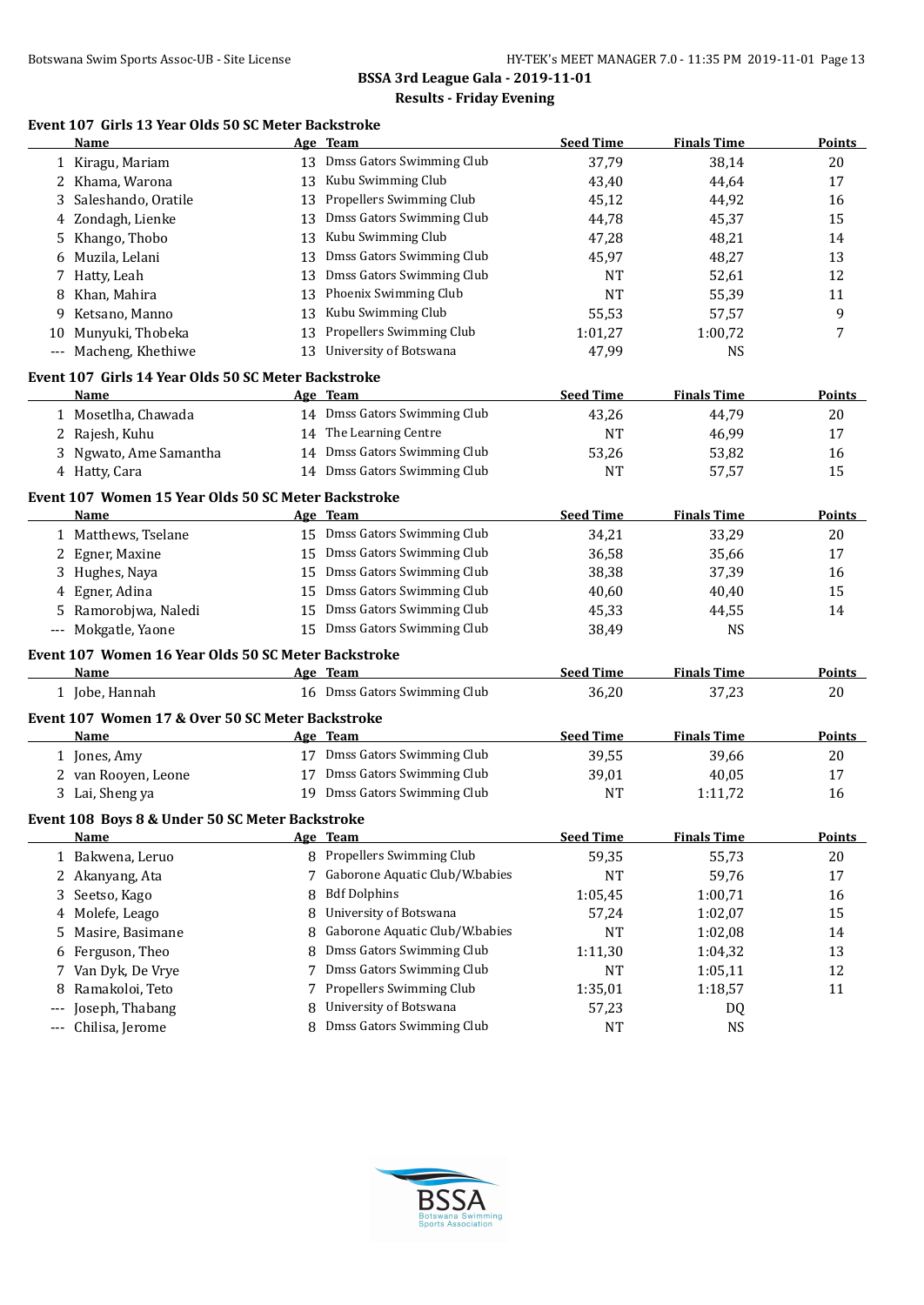#### **Event 107 Girls 13 Year Olds 50 SC Meter Backstroke**

|                     | Name                                                            |    | Age Team                       | <b>Seed Time</b> | <b>Finals Time</b> | <b>Points</b> |
|---------------------|-----------------------------------------------------------------|----|--------------------------------|------------------|--------------------|---------------|
|                     | 1 Kiragu, Mariam                                                |    | 13 Dmss Gators Swimming Club   | 37,79            | 38,14              | 20            |
|                     | 2 Khama, Warona                                                 | 13 | Kubu Swimming Club             | 43,40            | 44,64              | 17            |
| 3                   | Saleshando, Oratile                                             | 13 | Propellers Swimming Club       | 45,12            | 44,92              | 16            |
|                     | 4 Zondagh, Lienke                                               | 13 | Dmss Gators Swimming Club      | 44,78            | 45,37              | 15            |
| 5                   | Khango, Thobo                                                   | 13 | Kubu Swimming Club             | 47,28            | 48,21              | 14            |
| 6                   | Muzila, Lelani                                                  | 13 | Dmss Gators Swimming Club      | 45,97            | 48,27              | 13            |
| 7                   | Hatty, Leah                                                     | 13 | Dmss Gators Swimming Club      | <b>NT</b>        | 52,61              | 12            |
| 8                   | Khan, Mahira                                                    | 13 | Phoenix Swimming Club          | <b>NT</b>        | 55,39              | 11            |
| 9                   | Ketsano, Manno                                                  | 13 | Kubu Swimming Club             | 55,53            | 57,57              | 9             |
| 10                  | Munyuki, Thobeka                                                | 13 | Propellers Swimming Club       | 1:01,27          | 1:00,72            | 7             |
| $\qquad \qquad - -$ | Macheng, Khethiwe                                               | 13 | University of Botswana         | 47,99            | <b>NS</b>          |               |
|                     | Event 107 Girls 14 Year Olds 50 SC Meter Backstroke             |    |                                |                  |                    |               |
|                     | Name                                                            |    | Age Team                       | <b>Seed Time</b> | <b>Finals Time</b> | <b>Points</b> |
|                     | 1 Mosetlha, Chawada                                             |    | 14 Dmss Gators Swimming Club   | 43,26            | 44,79              | 20            |
|                     | 2 Rajesh, Kuhu                                                  |    | 14 The Learning Centre         | <b>NT</b>        | 46,99              | 17            |
|                     | 3 Ngwato, Ame Samantha                                          |    | 14 Dmss Gators Swimming Club   | 53,26            | 53,82              | 16            |
|                     | 4 Hatty, Cara                                                   |    | 14 Dmss Gators Swimming Club   | <b>NT</b>        | 57,57              | 15            |
|                     | Event 107 Women 15 Year Olds 50 SC Meter Backstroke             |    |                                |                  |                    |               |
|                     | Name                                                            |    | Age Team                       | <b>Seed Time</b> | <b>Finals Time</b> | <b>Points</b> |
|                     | 1 Matthews, Tselane                                             |    | 15 Dmss Gators Swimming Club   | 34,21            | 33,29              | 20            |
|                     | 2 Egner, Maxine                                                 |    | 15 Dmss Gators Swimming Club   | 36,58            | 35,66              | 17            |
|                     | 3 Hughes, Naya                                                  | 15 | Dmss Gators Swimming Club      | 38,38            | 37,39              | 16            |
|                     | 4 Egner, Adina                                                  | 15 | Dmss Gators Swimming Club      | 40,60            | 40,40              | 15            |
|                     | 5 Ramorobjwa, Naledi                                            | 15 | Dmss Gators Swimming Club      | 45,33            | 44,55              | 14            |
|                     | --- Mokgatle, Yaone                                             |    | 15 Dmss Gators Swimming Club   | 38,49            | <b>NS</b>          |               |
|                     | Event 107 Women 16 Year Olds 50 SC Meter Backstroke             |    |                                |                  |                    |               |
|                     | Name                                                            |    | Age Team                       | <b>Seed Time</b> | <b>Finals Time</b> | <b>Points</b> |
|                     | 1 Jobe, Hannah                                                  |    | 16 Dmss Gators Swimming Club   | 36,20            | 37,23              | 20            |
|                     |                                                                 |    |                                |                  |                    |               |
|                     | Event 107 Women 17 & Over 50 SC Meter Backstroke<br><b>Name</b> |    | Age Team                       | <b>Seed Time</b> | <b>Finals Time</b> | <b>Points</b> |
|                     | 1 Jones, Amy                                                    |    | 17 Dmss Gators Swimming Club   | 39,55            | 39,66              | 20            |
|                     | 2 van Rooyen, Leone                                             |    | 17 Dmss Gators Swimming Club   | 39,01            | 40,05              | 17            |
|                     | 3 Lai, Sheng ya                                                 |    | 19 Dmss Gators Swimming Club   | <b>NT</b>        | 1:11,72            | 16            |
|                     |                                                                 |    |                                |                  |                    |               |
|                     | Event 108 Boys 8 & Under 50 SC Meter Backstroke                 |    |                                |                  |                    |               |
|                     | <u>Name</u>                                                     |    | Age Team                       | <b>Seed Time</b> | <b>Finals Time</b> | <u>Points</u> |
|                     | 1 Bakwena, Leruo                                                |    | 8 Propellers Swimming Club     | 59,35            | 55,73              | 20            |
|                     | 2 Akanyang, Ata                                                 |    | Gaborone Aquatic Club/W.babies | NT               | 59,76              | 17            |
| 3                   | Seetso, Kago                                                    | 8  | <b>Bdf Dolphins</b>            | 1:05,45          | 1:00,71            | 16            |
| 4                   | Molefe, Leago                                                   | 8  | University of Botswana         | 57,24            | 1:02,07            | 15            |
| 5                   | Masire, Basimane                                                | 8  | Gaborone Aquatic Club/W.babies | NT               | 1:02,08            | 14            |
| 6                   | Ferguson, Theo                                                  | 8  | Dmss Gators Swimming Club      | 1:11,30          | 1:04,32            | 13            |
| 7                   | Van Dyk, De Vrye                                                | 7  | Dmss Gators Swimming Club      | NT               | 1:05,11            | 12            |
| 8                   | Ramakoloi, Teto                                                 | 7  | Propellers Swimming Club       | 1:35,01          | 1:18,57            | 11            |
|                     | Joseph, Thabang                                                 | 8  | University of Botswana         | 57,23            | DQ                 |               |
|                     | Chilisa, Jerome                                                 | 8  | Dmss Gators Swimming Club      | NT               | <b>NS</b>          |               |

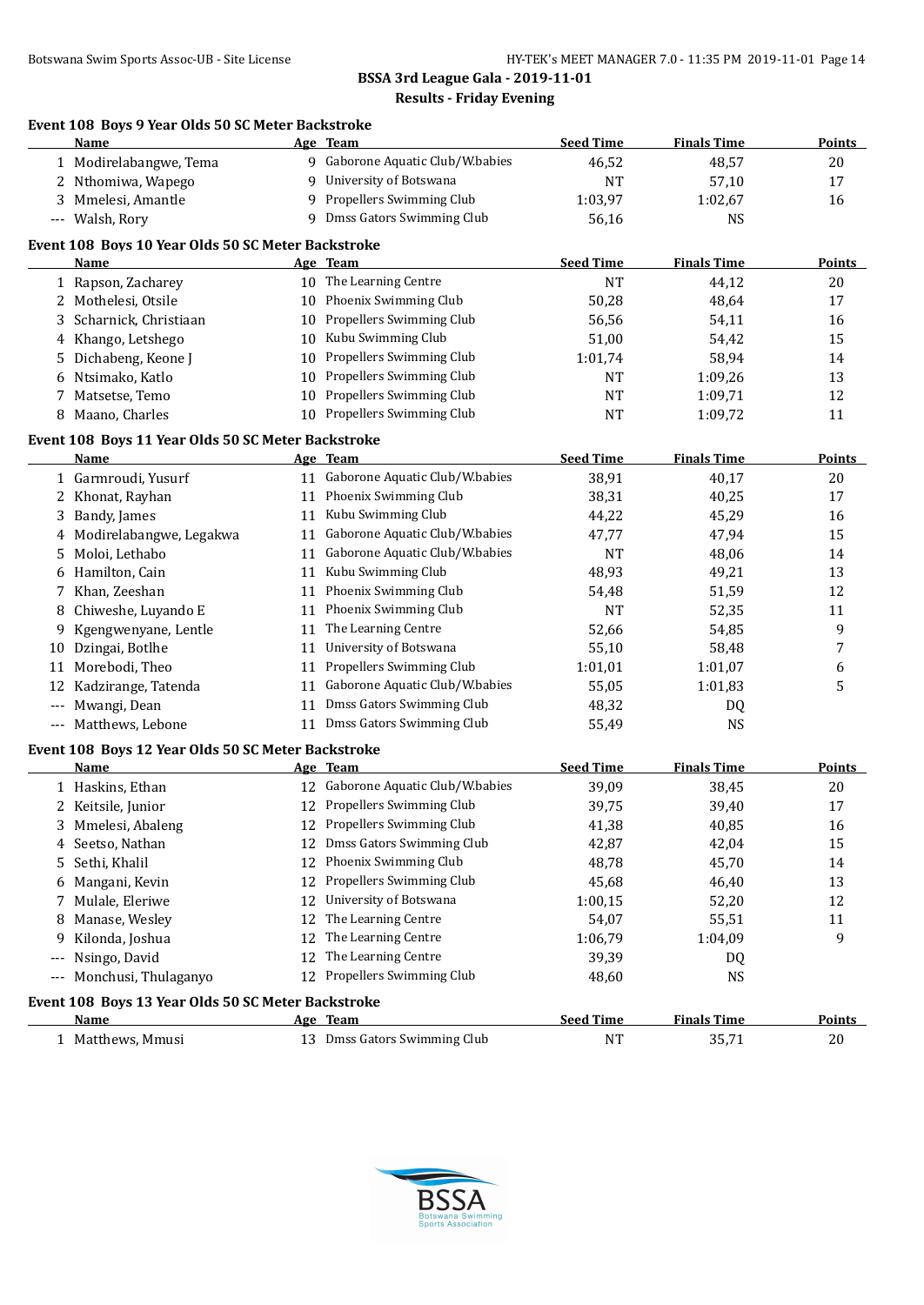#### **Event 108 Boys 9 Year Olds 50 SC Meter Backstroke**

|                   | Name                                               |    | Age Team                          | <b>Seed Time</b> | <b>Finals Time</b> | <b>Points</b> |
|-------------------|----------------------------------------------------|----|-----------------------------------|------------------|--------------------|---------------|
|                   | 1 Modirelabangwe, Tema                             |    | 9 Gaborone Aquatic Club/W.babies  | 46,52            | 48,57              | 20            |
|                   | 2 Nthomiwa, Wapego                                 | 9  | University of Botswana            | <b>NT</b>        | 57,10              | 17            |
|                   | 3 Mmelesi, Amantle                                 | 9  | Propellers Swimming Club          | 1:03,97          | 1:02,67            | 16            |
|                   | --- Walsh, Rory                                    | 9  | Dmss Gators Swimming Club         | 56,16            | <b>NS</b>          |               |
|                   | Event 108 Boys 10 Year Olds 50 SC Meter Backstroke |    |                                   |                  |                    |               |
|                   | Name                                               |    | Age Team                          | <b>Seed Time</b> | <b>Finals Time</b> | Points        |
|                   | 1 Rapson, Zacharey                                 | 10 | The Learning Centre               | <b>NT</b>        | 44,12              | 20            |
|                   | 2 Mothelesi, Otsile                                | 10 | Phoenix Swimming Club             | 50,28            | 48,64              | 17            |
| 3                 | Scharnick, Christiaan                              | 10 | Propellers Swimming Club          | 56,56            | 54,11              | 16            |
|                   | 4 Khango, Letshego                                 | 10 | Kubu Swimming Club                | 51,00            | 54,42              | 15            |
| 5.                | Dichabeng, Keone J                                 | 10 | Propellers Swimming Club          | 1:01,74          | 58,94              | 14            |
| 6                 | Ntsimako, Katlo                                    | 10 | Propellers Swimming Club          | NT               | 1:09,26            | 13            |
| 7                 | Matsetse, Temo                                     | 10 | Propellers Swimming Club          | <b>NT</b>        | 1:09,71            | 12            |
| 8                 | Maano, Charles                                     | 10 | Propellers Swimming Club          | <b>NT</b>        | 1:09,72            | 11            |
|                   |                                                    |    |                                   |                  |                    |               |
|                   | Event 108 Boys 11 Year Olds 50 SC Meter Backstroke |    |                                   |                  |                    |               |
|                   | <b>Name</b>                                        |    | Age Team                          | <b>Seed Time</b> | <b>Finals Time</b> | <b>Points</b> |
|                   | 1 Garmroudi, Yusurf                                |    | 11 Gaborone Aquatic Club/W.babies | 38,91            | 40,17              | 20            |
| 2                 | Khonat, Rayhan                                     | 11 | Phoenix Swimming Club             | 38,31            | 40,25              | 17            |
| 3                 | Bandy, James                                       | 11 | Kubu Swimming Club                | 44,22            | 45,29              | 16            |
| 4                 | Modirelabangwe, Legakwa                            | 11 | Gaborone Aquatic Club/W.babies    | 47,77            | 47,94              | 15            |
| 5.                | Moloi, Lethabo                                     | 11 | Gaborone Aquatic Club/W.babies    | <b>NT</b>        | 48,06              | 14            |
| 6                 | Hamilton, Cain                                     | 11 | Kubu Swimming Club                | 48,93            | 49,21              | 13            |
| 7                 | Khan, Zeeshan                                      | 11 | Phoenix Swimming Club             | 54,48            | 51,59              | 12            |
| 8                 | Chiweshe, Luyando E                                | 11 | Phoenix Swimming Club             | <b>NT</b>        | 52,35              | 11            |
| 9                 | Kgengwenyane, Lentle                               | 11 | The Learning Centre               | 52,66            | 54,85              | 9             |
|                   | 10 Dzingai, Botlhe                                 | 11 | University of Botswana            | 55,10            | 58,48              | 7             |
| 11                | Morebodi, Theo                                     | 11 | Propellers Swimming Club          | 1:01,01          | 1:01,07            | 6             |
| 12                | Kadzirange, Tatenda                                | 11 | Gaborone Aquatic Club/W.babies    | 55,05            | 1:01,83            | 5             |
|                   | Mwangi, Dean                                       | 11 | Dmss Gators Swimming Club         | 48,32            | DQ                 |               |
|                   | --- Matthews, Lebone                               |    | 11 Dmss Gators Swimming Club      | 55,49            | <b>NS</b>          |               |
|                   | Event 108 Boys 12 Year Olds 50 SC Meter Backstroke |    |                                   |                  |                    |               |
|                   | Name                                               |    | Age Team                          | <b>Seed Time</b> | <b>Finals Time</b> | <b>Points</b> |
|                   | 1 Haskins, Ethan                                   |    | 12 Gaborone Aquatic Club/W.babies | 39,09            | 38,45              | 20            |
|                   | 2 Keitsile, Junior                                 | 12 | Propellers Swimming Club          | 39,75            | 39,40              | 17            |
|                   | 3 Mmelesi, Abaleng                                 |    | 12 Propellers Swimming Club       | 41,38            | 40,85              | 16            |
| $\overline{4}$    | Seetso, Nathan                                     | 12 | Dmss Gators Swimming Club         | 42,87            | 42,04              | 15            |
| 5.                | Sethi, Khalil                                      | 12 | Phoenix Swimming Club             | 48,78            | 45,70              | 14            |
| 6                 | Mangani, Kevin                                     | 12 | Propellers Swimming Club          | 45,68            | 46,40              | 13            |
| 7                 | Mulale, Eleriwe                                    | 12 | University of Botswana            | 1:00,15          | 52,20              | 12            |
| 8                 | Manase, Wesley                                     | 12 | The Learning Centre               | 54,07            | 55,51              | 11            |
| 9                 | Kilonda, Joshua                                    | 12 | The Learning Centre               | 1:06,79          | 1:04,09            | 9             |
| $\qquad \qquad -$ | Nsingo, David                                      | 12 | The Learning Centre               | 39,39            | DQ                 |               |
| ---               | Monchusi, Thulaganyo                               | 12 | Propellers Swimming Club          | 48,60            | <b>NS</b>          |               |
|                   | Event 108 Boys 13 Year Olds 50 SC Meter Backstroke |    |                                   |                  |                    |               |
|                   | <u>Name</u>                                        |    | Age Team                          | <b>Seed Time</b> | <b>Finals Time</b> | <b>Points</b> |
|                   | 1 Matthews, Mmusi                                  |    | 13 Dmss Gators Swimming Club      | $\rm{NT}$        | 35,71              | 20            |
|                   |                                                    |    |                                   |                  |                    |               |